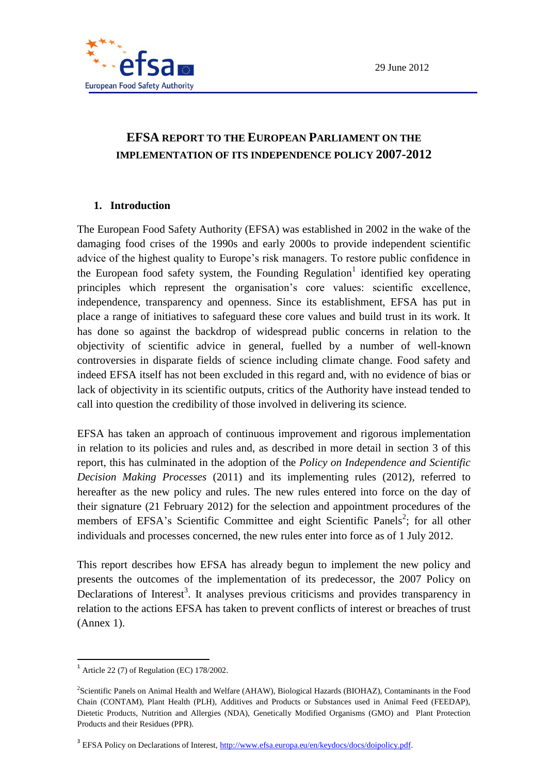

# **1. Introduction**

The European Food Safety Authority (EFSA) was established in 2002 in the wake of the damaging food crises of the 1990s and early 2000s to provide independent scientific advice of the highest quality to Europe's risk managers. To restore public confidence in the European food safety system, the Founding Regulation<sup>1</sup> identified key operating principles which represent the organisation's core values: scientific excellence, independence, transparency and openness. Since its establishment, EFSA has put in place a range of initiatives to safeguard these core values and build trust in its work. It has done so against the backdrop of widespread public concerns in relation to the objectivity of scientific advice in general, fuelled by a number of well-known controversies in disparate fields of science including climate change. Food safety and indeed EFSA itself has not been excluded in this regard and, with no evidence of bias or lack of objectivity in its scientific outputs, critics of the Authority have instead tended to call into question the credibility of those involved in delivering its science.

EFSA has taken an approach of continuous improvement and rigorous implementation in relation to its policies and rules and, as described in more detail in section 3 of this report, this has culminated in the adoption of the *Policy on Independence and Scientific Decision Making Processes* (2011) and its implementing rules (2012), referred to hereafter as the new policy and rules. The new rules entered into force on the day of their signature (21 February 2012) for the selection and appointment procedures of the members of EFSA's Scientific Committee and eight Scientific Panels<sup>2</sup>; for all other individuals and processes concerned, the new rules enter into force as of 1 July 2012.

This report describes how EFSA has already begun to implement the new policy and presents the outcomes of the implementation of its predecessor, the 2007 Policy on Declarations of Interest<sup>3</sup>. It analyses previous criticisms and provides transparency in relation to the actions EFSA has taken to prevent conflicts of interest or breaches of trust (Annex 1).

**.** 

<sup>1</sup> Article 22 (7) of Regulation (EC) 178/2002.

<sup>2</sup> Scientific Panels on Animal Health and Welfare (AHAW), Biological Hazards (BIOHAZ), Contaminants in the Food Chain (CONTAM), Plant Health (PLH), Additives and Products or Substances used in Animal Feed (FEEDAP), Dietetic Products, Nutrition and Allergies (NDA), Genetically Modified Organisms (GMO) and Plant Protection Products and their Residues (PPR).

<sup>&</sup>lt;sup>3</sup> EFSA Policy on Declarations of Interest, [http://www.efsa.europa.eu/en/keydocs/docs/doipolicy.pdf.](http://www.efsa.europa.eu/en/keydocs/docs/doipolicy.pdf)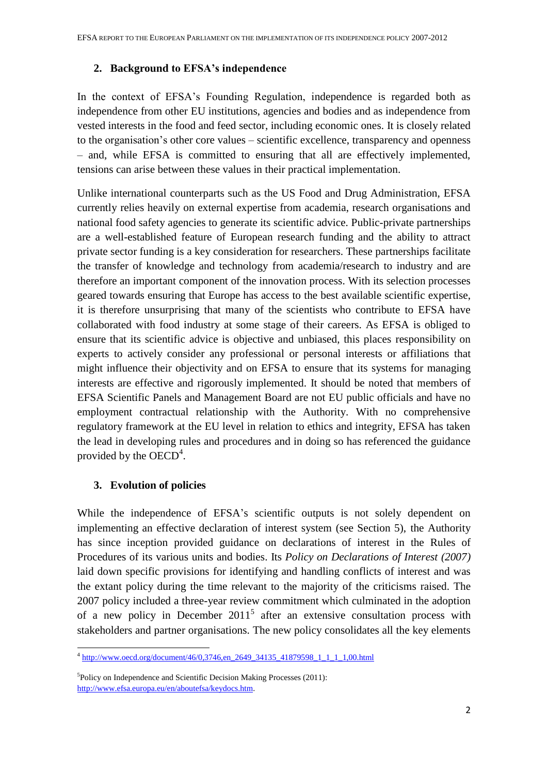#### **2. Background to EFSA's independence**

In the context of EFSA's Founding Regulation, independence is regarded both as independence from other EU institutions, agencies and bodies and as independence from vested interests in the food and feed sector, including economic ones. It is closely related to the organisation's other core values – scientific excellence, transparency and openness – and, while EFSA is committed to ensuring that all are effectively implemented, tensions can arise between these values in their practical implementation.

Unlike international counterparts such as the US Food and Drug Administration, EFSA currently relies heavily on external expertise from academia, research organisations and national food safety agencies to generate its scientific advice. Public-private partnerships are a well-established feature of European research funding and the ability to attract private sector funding is a key consideration for researchers. These partnerships facilitate the transfer of knowledge and technology from academia/research to industry and are therefore an important component of the innovation process. With its selection processes geared towards ensuring that Europe has access to the best available scientific expertise, it is therefore unsurprising that many of the scientists who contribute to EFSA have collaborated with food industry at some stage of their careers. As EFSA is obliged to ensure that its scientific advice is objective and unbiased, this places responsibility on experts to actively consider any professional or personal interests or affiliations that might influence their objectivity and on EFSA to ensure that its systems for managing interests are effective and rigorously implemented. It should be noted that members of EFSA Scientific Panels and Management Board are not EU public officials and have no employment contractual relationship with the Authority. With no comprehensive regulatory framework at the EU level in relation to ethics and integrity, EFSA has taken the lead in developing rules and procedures and in doing so has referenced the guidance provided by the  $OECD<sup>4</sup>$ .

# **3. Evolution of policies**

While the independence of EFSA's scientific outputs is not solely dependent on implementing an effective declaration of interest system (see Section 5), the Authority has since inception provided guidance on declarations of interest in the Rules of Procedures of its various units and bodies. Its *Policy on Declarations of Interest (2007)* laid down specific provisions for identifying and handling conflicts of interest and was the extant policy during the time relevant to the majority of the criticisms raised. The 2007 policy included a three-year review commitment which culminated in the adoption of a new policy in December  $2011<sup>5</sup>$  after an extensive consultation process with stakeholders and partner organisations. The new policy consolidates all the key elements

 4 [http://www.oecd.org/document/46/0,3746,en\\_2649\\_34135\\_41879598\\_1\\_1\\_1\\_1,00.html](http://www.oecd.org/document/46/0,3746,en_2649_34135_41879598_1_1_1_1,00.html)

<sup>5</sup> Policy on Independence and Scientific Decision Making Processes (2011): [http://www.efsa.europa.eu/en/aboutefsa/keydocs.htm.](http://www.efsa.europa.eu/en/aboutefsa/keydocs.htm)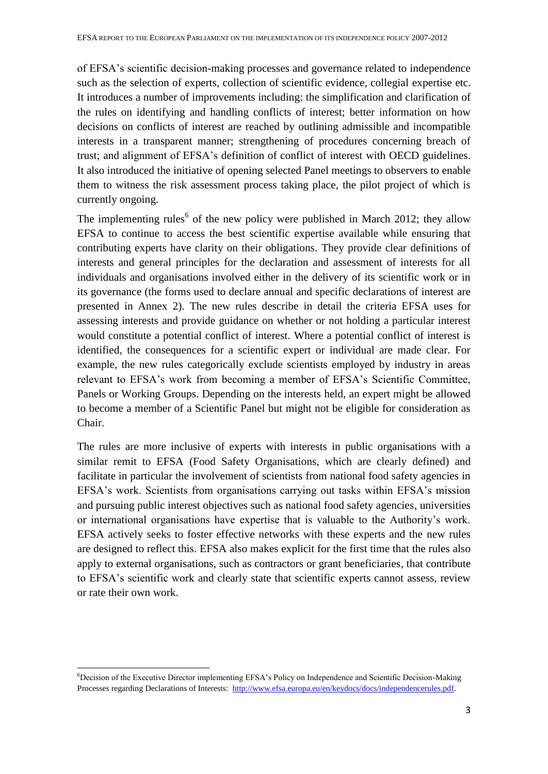of EFSA's scientific decision-making processes and governance related to independence such as the selection of experts, collection of scientific evidence, collegial expertise etc. It introduces a number of improvements including: the simplification and clarification of the rules on identifying and handling conflicts of interest; better information on how decisions on conflicts of interest are reached by outlining admissible and incompatible interests in a transparent manner; strengthening of procedures concerning breach of trust; and alignment of EFSA's definition of conflict of interest with OECD guidelines. It also introduced the initiative of opening selected Panel meetings to observers to enable them to witness the risk assessment process taking place, the pilot project of which is currently ongoing.

The implementing rules<sup>6</sup> of the new policy were published in March 2012; they allow EFSA to continue to access the best scientific expertise available while ensuring that contributing experts have clarity on their obligations. They provide clear definitions of interests and general principles for the declaration and assessment of interests for all individuals and organisations involved either in the delivery of its scientific work or in its governance (the forms used to declare annual and specific declarations of interest are presented in Annex 2). The new rules describe in detail the criteria EFSA uses for assessing interests and provide guidance on whether or not holding a particular interest would constitute a potential conflict of interest. Where a potential conflict of interest is identified, the consequences for a scientific expert or individual are made clear. For example, the new rules categorically exclude scientists employed by industry in areas relevant to EFSA's work from becoming a member of EFSA's Scientific Committee, Panels or Working Groups. Depending on the interests held, an expert might be allowed to become a member of a Scientific Panel but might not be eligible for consideration as Chair.

The rules are more inclusive of experts with interests in public organisations with a similar remit to EFSA (Food Safety Organisations, which are clearly defined) and facilitate in particular the involvement of scientists from national food safety agencies in EFSA's work. Scientists from organisations carrying out tasks within EFSA's mission and pursuing public interest objectives such as national food safety agencies, universities or international organisations have expertise that is valuable to the Authority's work. EFSA actively seeks to foster effective networks with these experts and the new rules are designed to reflect this. EFSA also makes explicit for the first time that the rules also apply to external organisations, such as contractors or grant beneficiaries, that contribute to EFSA's scientific work and clearly state that scientific experts cannot assess, review or rate their own work.

**.** 

<sup>6</sup>Decision of the Executive Director implementing EFSA's Policy on Independence and Scientific Decision-Making Processes regarding Declarations of Interests: [http://www.efsa.europa.eu/en/keydocs/docs/independencerules.pdf.](http://www.efsa.europa.eu/en/keydocs/docs/independencerules.pdf)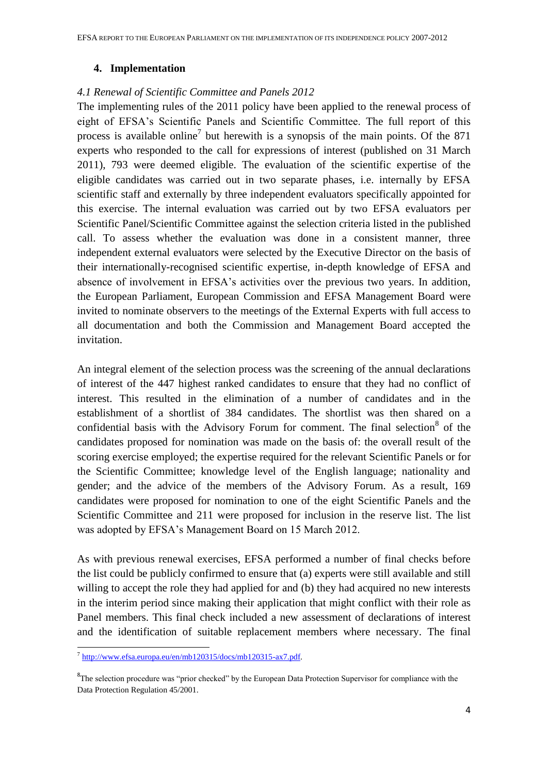#### **4. Implementation**

#### *4.1 Renewal of Scientific Committee and Panels 2012*

The implementing rules of the 2011 policy have been applied to the renewal process of eight of EFSA's Scientific Panels and Scientific Committee. The full report of this process is available online<sup>7</sup> but herewith is a synopsis of the main points. Of the 871 experts who responded to the call for expressions of interest (published on 31 March 2011), 793 were deemed eligible. The evaluation of the scientific expertise of the eligible candidates was carried out in two separate phases, i.e. internally by EFSA scientific staff and externally by three independent evaluators specifically appointed for this exercise. The internal evaluation was carried out by two EFSA evaluators per Scientific Panel/Scientific Committee against the selection criteria listed in the published call. To assess whether the evaluation was done in a consistent manner, three independent external evaluators were selected by the Executive Director on the basis of their internationally-recognised scientific expertise, in-depth knowledge of EFSA and absence of involvement in EFSA's activities over the previous two years. In addition, the European Parliament, European Commission and EFSA Management Board were invited to nominate observers to the meetings of the External Experts with full access to all documentation and both the Commission and Management Board accepted the invitation.

An integral element of the selection process was the screening of the annual declarations of interest of the 447 highest ranked candidates to ensure that they had no conflict of interest. This resulted in the elimination of a number of candidates and in the establishment of a shortlist of 384 candidates. The shortlist was then shared on a confidential basis with the Advisory Forum for comment. The final selection<sup>8</sup> of the candidates proposed for nomination was made on the basis of: the overall result of the scoring exercise employed; the expertise required for the relevant Scientific Panels or for the Scientific Committee; knowledge level of the English language; nationality and gender; and the advice of the members of the Advisory Forum. As a result, 169 candidates were proposed for nomination to one of the eight Scientific Panels and the Scientific Committee and 211 were proposed for inclusion in the reserve list. The list was adopted by EFSA's Management Board on 15 March 2012.

As with previous renewal exercises, EFSA performed a number of final checks before the list could be publicly confirmed to ensure that (a) experts were still available and still willing to accept the role they had applied for and (b) they had acquired no new interests in the interim period since making their application that might conflict with their role as Panel members. This final check included a new assessment of declarations of interest and the identification of suitable replacement members where necessary. The final

 7 [http://www.efsa.europa.eu/en/mb120315/docs/mb120315-ax7.pdf.](http://www.efsa.europa.eu/en/mb120315/docs/mb120315-ax7.pdf)

<sup>&</sup>lt;sup>8</sup>The selection procedure was "prior checked" by the European Data Protection Supervisor for compliance with the Data Protection Regulation 45/2001.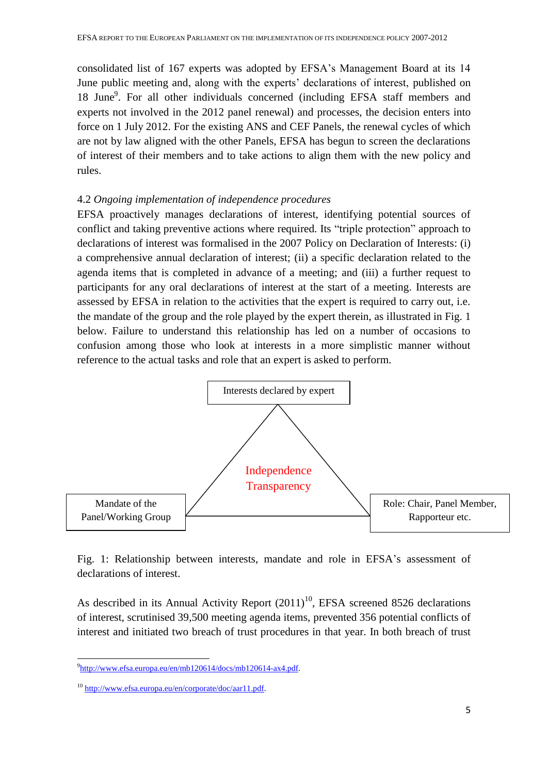consolidated list of 167 experts was adopted by EFSA's Management Board at its 14 June public meeting and, along with the experts' declarations of interest, published on 18 June<sup>9</sup>. For all other individuals concerned (including EFSA staff members and experts not involved in the 2012 panel renewal) and processes, the decision enters into force on 1 July 2012. For the existing ANS and CEF Panels, the renewal cycles of which are not by law aligned with the other Panels, EFSA has begun to screen the declarations of interest of their members and to take actions to align them with the new policy and rules.

### 4.2 *Ongoing implementation of independence procedures*

EFSA proactively manages declarations of interest, identifying potential sources of conflict and taking preventive actions where required. Its "triple protection" approach to declarations of interest was formalised in the 2007 Policy on Declaration of Interests: (i) a comprehensive annual declaration of interest; (ii) a specific declaration related to the agenda items that is completed in advance of a meeting; and (iii) a further request to participants for any oral declarations of interest at the start of a meeting. Interests are assessed by EFSA in relation to the activities that the expert is required to carry out, i.e. the mandate of the group and the role played by the expert therein, as illustrated in Fig. 1 below. Failure to understand this relationship has led on a number of occasions to confusion among those who look at interests in a more simplistic manner without reference to the actual tasks and role that an expert is asked to perform.



Fig. 1: Relationship between interests, mandate and role in EFSA's assessment of declarations of interest.

As described in its Annual Activity Report  $(2011)^{10}$ , EFSA screened 8526 declarations of interest, scrutinised 39,500 meeting agenda items, prevented 356 potential conflicts of interest and initiated two breach of trust procedures in that year. In both breach of trust

<sup>1</sup>  $^{9}$ http://www.efsa.europa.eu/en/mb120614/docs/mb120614-ax4.pdf.

<sup>&</sup>lt;sup>10</sup> [http://www.efsa.europa.eu/en/corporate/doc/aar11.pdf.](http://www.efsa.europa.eu/en/corporate/doc/aar11.pdf)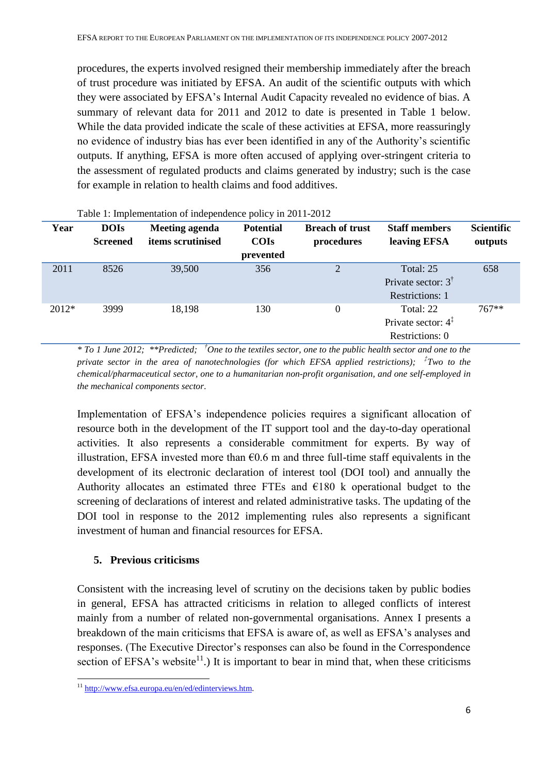procedures, the experts involved resigned their membership immediately after the breach of trust procedure was initiated by EFSA. An audit of the scientific outputs with which they were associated by EFSA's Internal Audit Capacity revealed no evidence of bias. A summary of relevant data for 2011 and 2012 to date is presented in Table 1 below. While the data provided indicate the scale of these activities at EFSA, more reassuringly no evidence of industry bias has ever been identified in any of the Authority's scientific outputs. If anything, EFSA is more often accused of applying over-stringent criteria to the assessment of regulated products and claims generated by industry; such is the case for example in relation to health claims and food additives.

| Year    | <b>DOIs</b><br><b>Screened</b> | Meeting agenda<br>items scrutinised | <b>Potential</b><br><b>COIs</b><br>prevented | <b>Breach of trust</b><br>procedures | <b>Staff members</b><br>leaving EFSA                           | <b>Scientific</b><br>outputs |
|---------|--------------------------------|-------------------------------------|----------------------------------------------|--------------------------------------|----------------------------------------------------------------|------------------------------|
| 2011    | 8526                           | 39,500                              | 356                                          | $\overline{2}$                       | Total: 25<br>Private sector: $3^{\dagger}$<br>Restrictions: 1  | 658                          |
| $2012*$ | 3999                           | 18,198                              | 130                                          | $\boldsymbol{0}$                     | Total: 22<br>Private sector: $4^{\ddagger}$<br>Restrictions: 0 | $767**$                      |

Table 1: Implementation of independence policy in 2011-2012

*\* To 1 June 2012; \*\*Predicted; †One to the textiles sector, one to the public health sector and one to the private sector in the area of nanotechnologies (for which EFSA applied restrictions); ‡ Two to the chemical/pharmaceutical sector, one to a humanitarian non-profit organisation, and one self-employed in the mechanical components sector.* 

Implementation of EFSA's independence policies requires a significant allocation of resource both in the development of the IT support tool and the day-to-day operational activities. It also represents a considerable commitment for experts. By way of illustration, EFSA invested more than  $\epsilon$ 0.6 m and three full-time staff equivalents in the development of its electronic declaration of interest tool (DOI tool) and annually the Authority allocates an estimated three FTEs and  $E180$  k operational budget to the screening of declarations of interest and related administrative tasks. The updating of the DOI tool in response to the 2012 implementing rules also represents a significant investment of human and financial resources for EFSA.

# **5. Previous criticisms**

Consistent with the increasing level of scrutiny on the decisions taken by public bodies in general, EFSA has attracted criticisms in relation to alleged conflicts of interest mainly from a number of related non-governmental organisations. Annex I presents a breakdown of the main criticisms that EFSA is aware of, as well as EFSA's analyses and responses. (The Executive Director's responses can also be found in the Correspondence section of EFSA's website<sup>11</sup>.) It is important to bear in mind that, when these criticisms

-

<sup>&</sup>lt;sup>11</sup> [http://www.efsa.europa.eu/en/ed/edinterviews.htm.](http://www.efsa.europa.eu/en/ed/edinterviews.htm)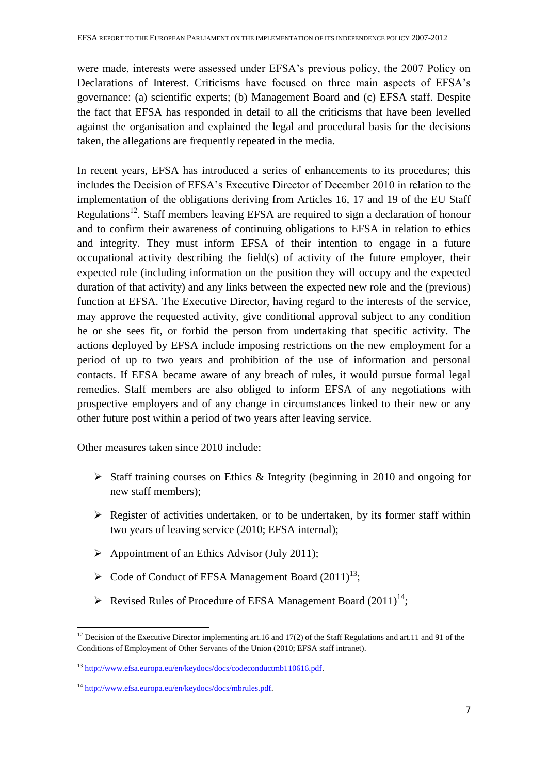were made, interests were assessed under EFSA's previous policy, the 2007 Policy on Declarations of Interest. Criticisms have focused on three main aspects of EFSA's governance: (a) scientific experts; (b) Management Board and (c) EFSA staff. Despite the fact that EFSA has responded in detail to all the criticisms that have been levelled against the organisation and explained the legal and procedural basis for the decisions taken, the allegations are frequently repeated in the media.

In recent years, EFSA has introduced a series of enhancements to its procedures; this includes the Decision of EFSA's Executive Director of December 2010 in relation to the implementation of the obligations deriving from Articles 16, 17 and 19 of the EU Staff Regulations<sup>12</sup>. Staff members leaving EFSA are required to sign a declaration of honour and to confirm their awareness of continuing obligations to EFSA in relation to ethics and integrity. They must inform EFSA of their intention to engage in a future occupational activity describing the field(s) of activity of the future employer, their expected role (including information on the position they will occupy and the expected duration of that activity) and any links between the expected new role and the (previous) function at EFSA. The Executive Director, having regard to the interests of the service, may approve the requested activity, give conditional approval subject to any condition he or she sees fit, or forbid the person from undertaking that specific activity. The actions deployed by EFSA include imposing restrictions on the new employment for a period of up to two years and prohibition of the use of information and personal contacts. If EFSA became aware of any breach of rules, it would pursue formal legal remedies. Staff members are also obliged to inform EFSA of any negotiations with prospective employers and of any change in circumstances linked to their new or any other future post within a period of two years after leaving service.

Other measures taken since 2010 include:

- $\triangleright$  Staff training courses on Ethics & Integrity (beginning in 2010 and ongoing for new staff members);
- $\triangleright$  Register of activities undertaken, or to be undertaken, by its former staff within two years of leaving service (2010; EFSA internal);
- $\triangleright$  Appointment of an Ethics Advisor (July 2011);
- $\triangleright$  Code of Conduct of EFSA Management Board (2011)<sup>13</sup>;
- Exercised Rules of Procedure of EFSA Management Board  $(2011)^{14}$ ;

<sup>1</sup> <sup>12</sup> Decision of the Executive Director implementing art.16 and 17(2) of the Staff Regulations and art.11 and 91 of the Conditions of Employment of Other Servants of the Union (2010; EFSA staff intranet).

<sup>13</sup> [http://www.efsa.europa.eu/en/keydocs/docs/codeconductmb110616.pdf.](http://www.efsa.europa.eu/en/keydocs/docs/codeconductmb110616.pdf)

<sup>14</sup> [http://www.efsa.europa.eu/en/keydocs/docs/mbrules.pdf.](http://www.efsa.europa.eu/en/keydocs/docs/mbrules.pdf)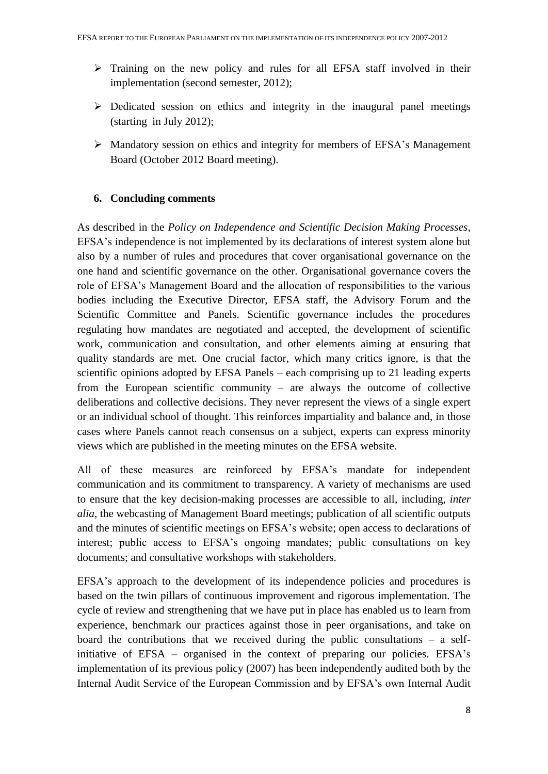- Training on the new policy and rules for all EFSA staff involved in their implementation (second semester, 2012);
- $\triangleright$  Dedicated session on ethics and integrity in the inaugural panel meetings (starting in July 2012);
- Mandatory session on ethics and integrity for members of EFSA's Management Board (October 2012 Board meeting).

# **6. Concluding comments**

As described in the *Policy on Independence and Scientific Decision Making Processes*, EFSA's independence is not implemented by its declarations of interest system alone but also by a number of rules and procedures that cover organisational governance on the one hand and scientific governance on the other. Organisational governance covers the role of EFSA's Management Board and the allocation of responsibilities to the various bodies including the Executive Director, EFSA staff, the Advisory Forum and the Scientific Committee and Panels. Scientific governance includes the procedures regulating how mandates are negotiated and accepted, the development of scientific work, communication and consultation, and other elements aiming at ensuring that quality standards are met. One crucial factor, which many critics ignore, is that the scientific opinions adopted by EFSA Panels – each comprising up to 21 leading experts from the European scientific community – are always the outcome of collective deliberations and collective decisions. They never represent the views of a single expert or an individual school of thought. This reinforces impartiality and balance and, in those cases where Panels cannot reach consensus on a subject, experts can express minority views which are published in the meeting minutes on the EFSA website.

All of these measures are reinforced by EFSA's mandate for independent communication and its commitment to transparency. A variety of mechanisms are used to ensure that the key decision-making processes are accessible to all, including, *inter alia*, the webcasting of Management Board meetings; publication of all scientific outputs and the minutes of scientific meetings on EFSA's website; open access to declarations of interest; public access to EFSA's ongoing mandates; public consultations on key documents; and consultative workshops with stakeholders.

EFSA's approach to the development of its independence policies and procedures is based on the twin pillars of continuous improvement and rigorous implementation. The cycle of review and strengthening that we have put in place has enabled us to learn from experience, benchmark our practices against those in peer organisations, and take on board the contributions that we received during the public consultations – a selfinitiative of EFSA – organised in the context of preparing our policies. EFSA's implementation of its previous policy (2007) has been independently audited both by the Internal Audit Service of the European Commission and by EFSA's own Internal Audit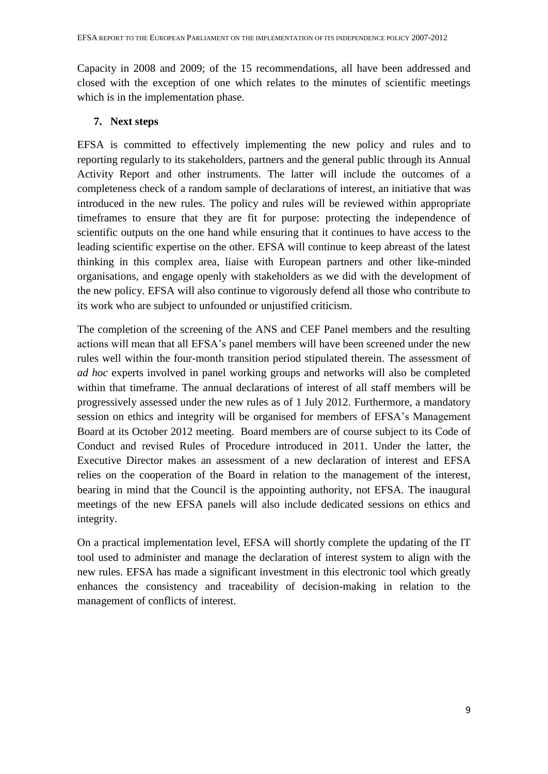Capacity in 2008 and 2009; of the 15 recommendations, all have been addressed and closed with the exception of one which relates to the minutes of scientific meetings which is in the implementation phase.

# **7. Next steps**

EFSA is committed to effectively implementing the new policy and rules and to reporting regularly to its stakeholders, partners and the general public through its Annual Activity Report and other instruments. The latter will include the outcomes of a completeness check of a random sample of declarations of interest, an initiative that was introduced in the new rules. The policy and rules will be reviewed within appropriate timeframes to ensure that they are fit for purpose: protecting the independence of scientific outputs on the one hand while ensuring that it continues to have access to the leading scientific expertise on the other. EFSA will continue to keep abreast of the latest thinking in this complex area, liaise with European partners and other like-minded organisations, and engage openly with stakeholders as we did with the development of the new policy. EFSA will also continue to vigorously defend all those who contribute to its work who are subject to unfounded or unjustified criticism.

The completion of the screening of the ANS and CEF Panel members and the resulting actions will mean that all EFSA's panel members will have been screened under the new rules well within the four-month transition period stipulated therein. The assessment of *ad hoc* experts involved in panel working groups and networks will also be completed within that timeframe. The annual declarations of interest of all staff members will be progressively assessed under the new rules as of 1 July 2012. Furthermore, a mandatory session on ethics and integrity will be organised for members of EFSA's Management Board at its October 2012 meeting. Board members are of course subject to its Code of Conduct and revised Rules of Procedure introduced in 2011. Under the latter, the Executive Director makes an assessment of a new declaration of interest and EFSA relies on the cooperation of the Board in relation to the management of the interest, bearing in mind that the Council is the appointing authority, not EFSA. The inaugural meetings of the new EFSA panels will also include dedicated sessions on ethics and integrity.

On a practical implementation level, EFSA will shortly complete the updating of the IT tool used to administer and manage the declaration of interest system to align with the new rules. EFSA has made a significant investment in this electronic tool which greatly enhances the consistency and traceability of decision-making in relation to the management of conflicts of interest.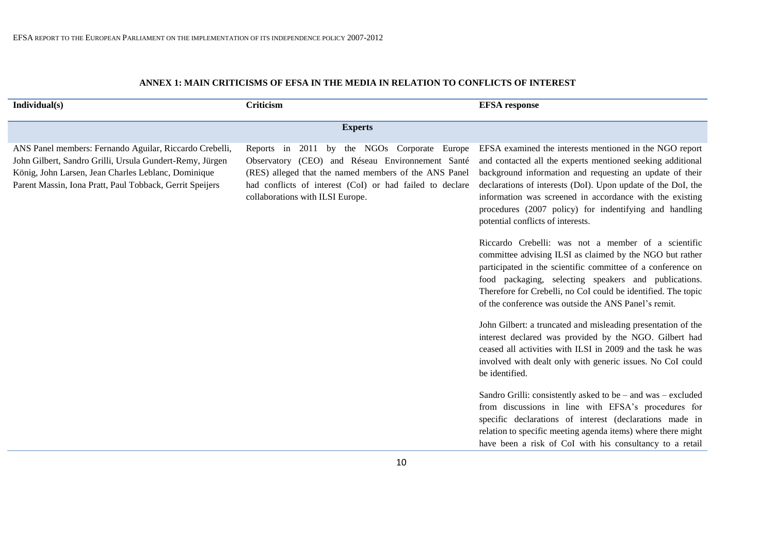| Individual(s)                                                                                                                                                                                                                          | Criticism                                                                                                                                                                                                                                                 | <b>EFSA</b> response                                                                                                                                                                                                                                                                                                                                                                                         |
|----------------------------------------------------------------------------------------------------------------------------------------------------------------------------------------------------------------------------------------|-----------------------------------------------------------------------------------------------------------------------------------------------------------------------------------------------------------------------------------------------------------|--------------------------------------------------------------------------------------------------------------------------------------------------------------------------------------------------------------------------------------------------------------------------------------------------------------------------------------------------------------------------------------------------------------|
|                                                                                                                                                                                                                                        | <b>Experts</b>                                                                                                                                                                                                                                            |                                                                                                                                                                                                                                                                                                                                                                                                              |
| ANS Panel members: Fernando Aguilar, Riccardo Crebelli,<br>John Gilbert, Sandro Grilli, Ursula Gundert-Remy, Jürgen<br>König, John Larsen, Jean Charles Leblanc, Dominique<br>Parent Massin, Iona Pratt, Paul Tobback, Gerrit Speijers | Reports in 2011 by the NGOs Corporate Europe<br>Observatory (CEO) and Réseau Environmement Santé<br>(RES) alleged that the named members of the ANS Panel<br>had conflicts of interest (CoI) or had failed to declare<br>collaborations with ILSI Europe. | EFSA examined the interests mentioned in the NGO report<br>and contacted all the experts mentioned seeking additional<br>background information and requesting an update of their<br>declarations of interests (DoI). Upon update of the DoI, the<br>information was screened in accordance with the existing<br>procedures (2007 policy) for indentifying and handling<br>potential conflicts of interests. |
|                                                                                                                                                                                                                                        |                                                                                                                                                                                                                                                           | Riccardo Crebelli: was not a member of a scientific<br>committee advising ILSI as claimed by the NGO but rather<br>participated in the scientific committee of a conference on<br>food packaging, selecting speakers and publications.<br>Therefore for Crebelli, no CoI could be identified. The topic<br>of the conference was outside the ANS Panel's remit.                                              |
|                                                                                                                                                                                                                                        |                                                                                                                                                                                                                                                           | John Gilbert: a truncated and misleading presentation of the<br>interest declared was provided by the NGO. Gilbert had<br>ceased all activities with ILSI in 2009 and the task he was<br>involved with dealt only with generic issues. No CoI could<br>be identified.                                                                                                                                        |
|                                                                                                                                                                                                                                        |                                                                                                                                                                                                                                                           | Sandro Grilli: consistently asked to be – and was – excluded<br>from discussions in line with EFSA's procedures for<br>specific declarations of interest (declarations made in<br>relation to specific meeting agenda items) where there might<br>have been a risk of CoI with his consultancy to a retail                                                                                                   |

# **ANNEX 1: MAIN CRITICISMS OF EFSA IN THE MEDIA IN RELATION TO CONFLICTS OF INTEREST**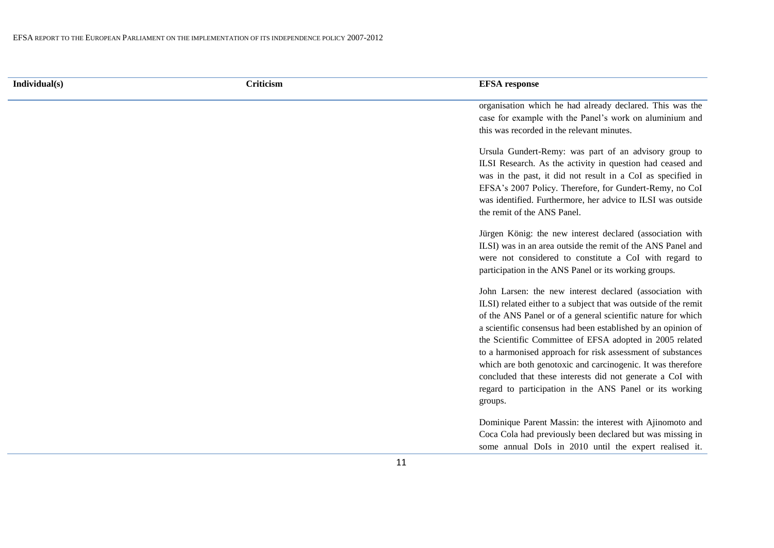|  |  | Individual(s) |  |  |
|--|--|---------------|--|--|
|  |  |               |  |  |
|  |  |               |  |  |
|  |  |               |  |  |

#### **Individual(s) Criticism EFSA response**

organisation which he had already declared. This was the case for example with the Panel's work on aluminium and this was recorded in the relevant minutes.

Ursula Gundert-Remy: was part of an advisory group to ILSI Research. As the activity in question had ceased and was in the past, it did not result in a CoI as specified in EFSA's 2007 Policy. Therefore, for Gundert-Remy, no CoI was identified. Furthermore, her advice to ILSI was outside the remit of the ANS Panel.

Jürgen König: the new interest declared (association with ILSI) was in an area outside the remit of the ANS Panel and were not considered to constitute a CoI with regard to participation in the ANS Panel or its working groups.

John Larsen: the new interest declared (association with ILSI) related either to a subject that was outside of the remit of the ANS Panel or of a general scientific nature for which a scientific consensus had been established by an opinion of the Scientific Committee of EFSA adopted in 2005 related to a harmonised approach for risk assessment of substances which are both genotoxic and carcinogenic. It was therefore concluded that these interests did not generate a CoI with regard to participation in the ANS Panel or its working groups.

Dominique Parent Massin: the interest with Ajinomoto and Coca Cola had previously been declared but was missing in some annual DoIs in 2010 until the expert realised it.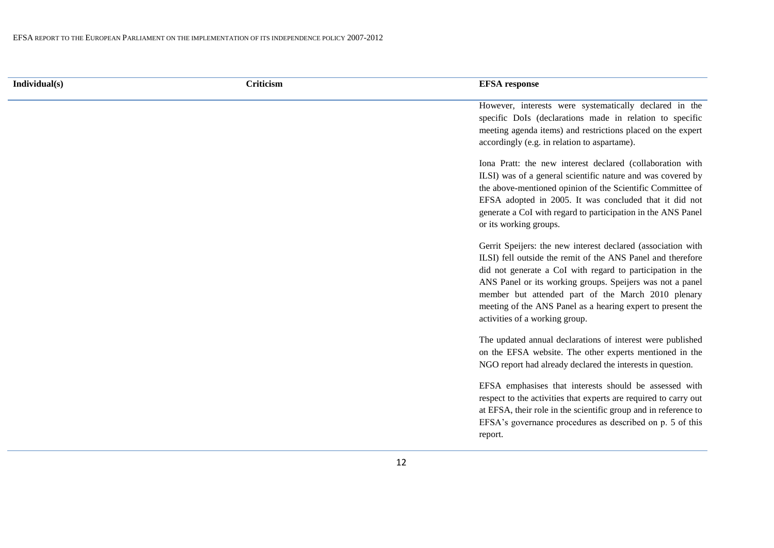| Individual(s) |  |  |  |
|---------------|--|--|--|
|               |  |  |  |
|               |  |  |  |
|               |  |  |  |

| Individual(s) | $\sim \cdot \cdot$<br><b>Criticism</b> | <b>EFSA</b> response |
|---------------|----------------------------------------|----------------------|
|               |                                        |                      |

However, interests were systematically declared in the specific DoIs (declarations made in relation to specific meeting agenda items) and restrictions placed on the expert accordingly (e.g. in relation to aspartame).

Iona Pratt: the new interest declared (collaboration with ILSI) was of a general scientific nature and was covered by the above-mentioned opinion of the Scientific Committee of EFSA adopted in 2005. It was concluded that it did not generate a CoI with regard to participation in the ANS Panel or its working groups.

Gerrit Speijers: the new interest declared (association with ILSI) fell outside the remit of the ANS Panel and therefore did not generate a CoI with regard to participation in the ANS Panel or its working groups. Speijers was not a panel member but attended part of the March 2010 plenary meeting of the ANS Panel as a hearing expert to present the activities of a working group.

The updated annual declarations of interest were published on the EFSA website. The other experts mentioned in the NGO report had already declared the interests in question.

EFSA emphasises that interests should be assessed with respect to the activities that experts are required to carry out at EFSA, their role in the scientific group and in reference to EFSA's governance procedures as described on p. 5 of this report.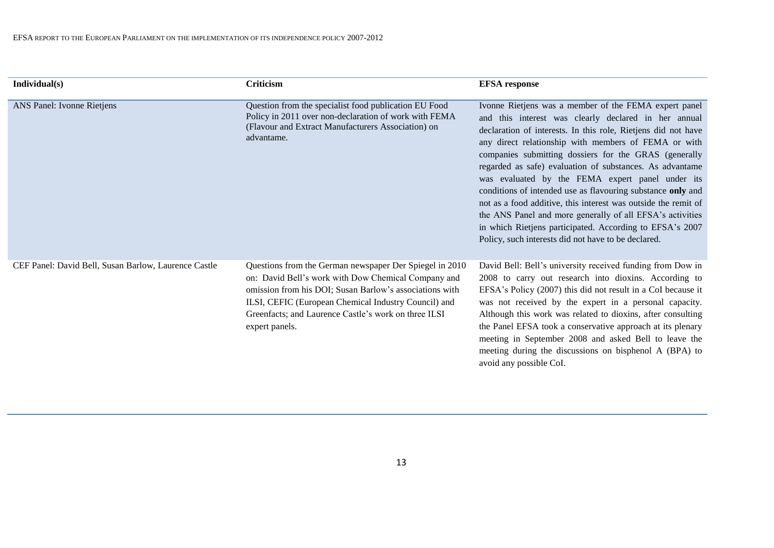| Individual(s)                                        | <b>Criticism</b>                                                                                                                                                                                                                                                                                            | <b>EFSA</b> response                                                                                                                                                                                                                                                                                                                                                                                                                                                                                                                                                                                                                                                                                                             |
|------------------------------------------------------|-------------------------------------------------------------------------------------------------------------------------------------------------------------------------------------------------------------------------------------------------------------------------------------------------------------|----------------------------------------------------------------------------------------------------------------------------------------------------------------------------------------------------------------------------------------------------------------------------------------------------------------------------------------------------------------------------------------------------------------------------------------------------------------------------------------------------------------------------------------------------------------------------------------------------------------------------------------------------------------------------------------------------------------------------------|
| ANS Panel: Ivonne Rietjens                           | Question from the specialist food publication EU Food<br>Policy in 2011 over non-declaration of work with FEMA<br>(Flavour and Extract Manufacturers Association) on<br>advantame.                                                                                                                          | Ivonne Rietjens was a member of the FEMA expert panel<br>and this interest was clearly declared in her annual<br>declaration of interests. In this role, Rietjens did not have<br>any direct relationship with members of FEMA or with<br>companies submitting dossiers for the GRAS (generally<br>regarded as safe) evaluation of substances. As advantame<br>was evaluated by the FEMA expert panel under its<br>conditions of intended use as flavouring substance only and<br>not as a food additive, this interest was outside the remit of<br>the ANS Panel and more generally of all EFSA's activities<br>in which Rietjens participated. According to EFSA's 2007<br>Policy, such interests did not have to be declared. |
| CEF Panel: David Bell, Susan Barlow, Laurence Castle | Questions from the German newspaper Der Spiegel in 2010<br>on: David Bell's work with Dow Chemical Company and<br>omission from his DOI; Susan Barlow's associations with<br>ILSI, CEFIC (European Chemical Industry Council) and<br>Greenfacts; and Laurence Castle's work on three ILSI<br>expert panels. | David Bell: Bell's university received funding from Dow in<br>2008 to carry out research into dioxins. According to<br>EFSA's Policy (2007) this did not result in a CoI because it<br>was not received by the expert in a personal capacity.<br>Although this work was related to dioxins, after consulting<br>the Panel EFSA took a conservative approach at its plenary<br>meeting in September 2008 and asked Bell to leave the<br>meeting during the discussions on bisphenol A (BPA) to<br>avoid any possible CoI.                                                                                                                                                                                                         |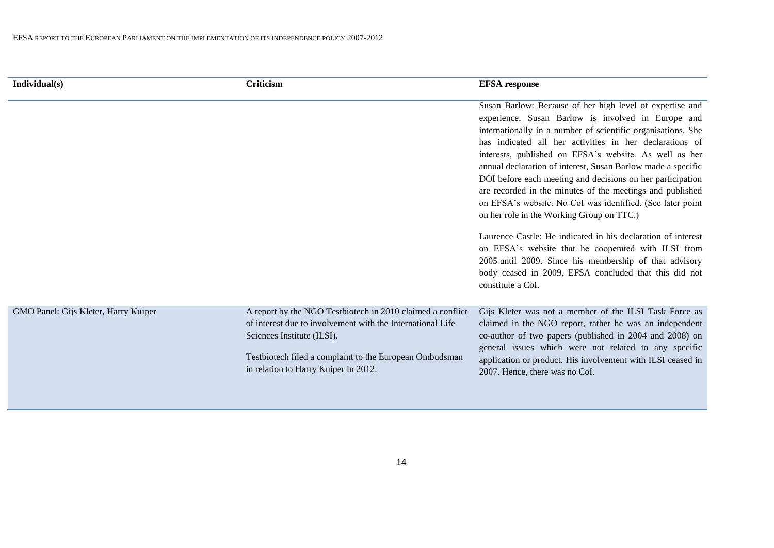| Individual(s)                        | Criticism                                                                                                                                                                                                                                                 | <b>EFSA</b> response                                                                                                                                                                                                                                                                                                                                                                                                                                                                                                                                                                                                                                                                                                                                                                                                                                                     |
|--------------------------------------|-----------------------------------------------------------------------------------------------------------------------------------------------------------------------------------------------------------------------------------------------------------|--------------------------------------------------------------------------------------------------------------------------------------------------------------------------------------------------------------------------------------------------------------------------------------------------------------------------------------------------------------------------------------------------------------------------------------------------------------------------------------------------------------------------------------------------------------------------------------------------------------------------------------------------------------------------------------------------------------------------------------------------------------------------------------------------------------------------------------------------------------------------|
|                                      |                                                                                                                                                                                                                                                           | Susan Barlow: Because of her high level of expertise and<br>experience, Susan Barlow is involved in Europe and<br>internationally in a number of scientific organisations. She<br>has indicated all her activities in her declarations of<br>interests, published on EFSA's website. As well as her<br>annual declaration of interest, Susan Barlow made a specific<br>DOI before each meeting and decisions on her participation<br>are recorded in the minutes of the meetings and published<br>on EFSA's website. No CoI was identified. (See later point<br>on her role in the Working Group on TTC.)<br>Laurence Castle: He indicated in his declaration of interest<br>on EFSA's website that he cooperated with ILSI from<br>2005 until 2009. Since his membership of that advisory<br>body ceased in 2009, EFSA concluded that this did not<br>constitute a CoI. |
| GMO Panel: Gijs Kleter, Harry Kuiper | A report by the NGO Testbiotech in 2010 claimed a conflict<br>of interest due to involvement with the International Life<br>Sciences Institute (ILSI).<br>Testbiotech filed a complaint to the European Ombudsman<br>in relation to Harry Kuiper in 2012. | Gijs Kleter was not a member of the ILSI Task Force as<br>claimed in the NGO report, rather he was an independent<br>co-author of two papers (published in 2004 and 2008) on<br>general issues which were not related to any specific<br>application or product. His involvement with ILSI ceased in<br>2007. Hence, there was no CoI.                                                                                                                                                                                                                                                                                                                                                                                                                                                                                                                                   |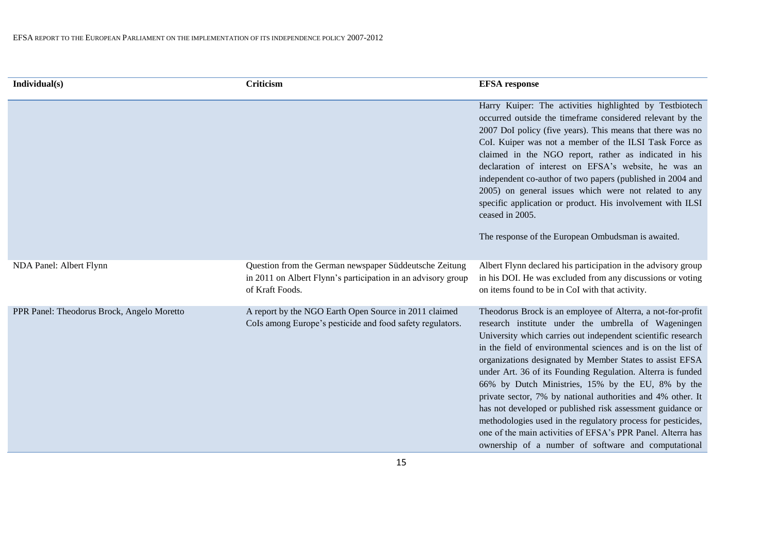| Individual(s)                              | Criticism                                                                                                                                 | <b>EFSA</b> response                                                                                                                                                                                                                                                                                                                                                                                                                                                                                                                                                                                                                                                                                                                                  |
|--------------------------------------------|-------------------------------------------------------------------------------------------------------------------------------------------|-------------------------------------------------------------------------------------------------------------------------------------------------------------------------------------------------------------------------------------------------------------------------------------------------------------------------------------------------------------------------------------------------------------------------------------------------------------------------------------------------------------------------------------------------------------------------------------------------------------------------------------------------------------------------------------------------------------------------------------------------------|
|                                            |                                                                                                                                           | Harry Kuiper: The activities highlighted by Testbiotech<br>occurred outside the timeframe considered relevant by the<br>2007 DoI policy (five years). This means that there was no<br>CoI. Kuiper was not a member of the ILSI Task Force as<br>claimed in the NGO report, rather as indicated in his<br>declaration of interest on EFSA's website, he was an<br>independent co-author of two papers (published in 2004 and<br>2005) on general issues which were not related to any<br>specific application or product. His involvement with ILSI<br>ceased in 2005.<br>The response of the European Ombudsman is awaited.                                                                                                                           |
| NDA Panel: Albert Flynn                    | Question from the German newspaper Süddeutsche Zeitung<br>in 2011 on Albert Flynn's participation in an advisory group<br>of Kraft Foods. | Albert Flynn declared his participation in the advisory group<br>in his DOI. He was excluded from any discussions or voting<br>on items found to be in CoI with that activity.                                                                                                                                                                                                                                                                                                                                                                                                                                                                                                                                                                        |
| PPR Panel: Theodorus Brock, Angelo Moretto | A report by the NGO Earth Open Source in 2011 claimed<br>CoIs among Europe's pesticide and food safety regulators.                        | Theodorus Brock is an employee of Alterra, a not-for-profit<br>research institute under the umbrella of Wageningen<br>University which carries out independent scientific research<br>in the field of environmental sciences and is on the list of<br>organizations designated by Member States to assist EFSA<br>under Art. 36 of its Founding Regulation. Alterra is funded<br>66% by Dutch Ministries, 15% by the EU, 8% by the<br>private sector, 7% by national authorities and 4% other. It<br>has not developed or published risk assessment guidance or<br>methodologies used in the regulatory process for pesticides,<br>one of the main activities of EFSA's PPR Panel. Alterra has<br>ownership of a number of software and computational |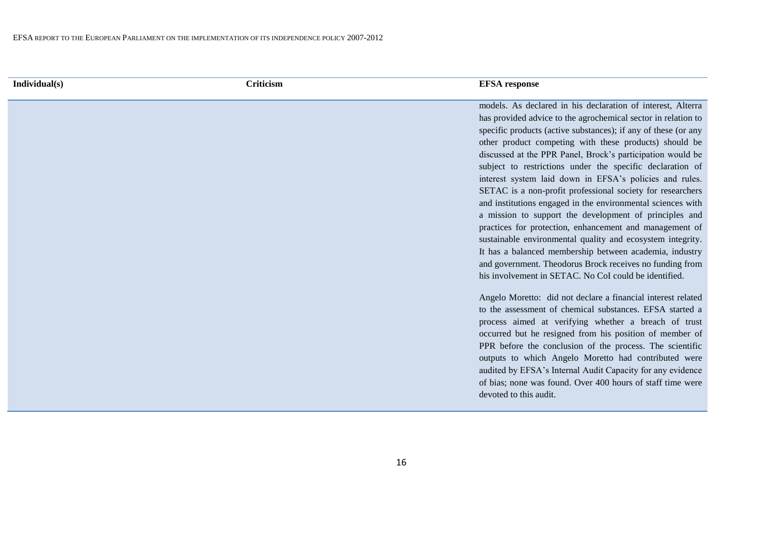#### **Individual(s) Criticism EFSA response**

models. As declared in his declaration of interest, Alterra has provided advice to the agrochemical sector in relation to specific products (active substances); if any of these (or any other product competing with these products) should be discussed at the PPR Panel, Brock's participation would be subject to restrictions under the specific declaration of interest system laid down in EFSA's policies and rules. SETAC is a non-profit professional society for researchers and institutions engaged in the environmental sciences with a mission to support the development of principles and practices for protection, enhancement and management of sustainable environmental quality and ecosystem integrity. It has a balanced membership between academia, industry and government. Theodorus Brock receives no funding from his involvement in SETAC. No CoI could be identified.

Angelo Moretto: did not declare a financial interest related to the assessment of chemical substances. EFSA started a process aimed at verifying whether a breach of trust occurred but he resigned from his position of member of PPR before the conclusion of the process. The scientific outputs to which Angelo Moretto had contributed were audited by EFSA's Internal Audit Capacity for any evidence of bias; none was found. Over 400 hours of staff time were devoted to this audit.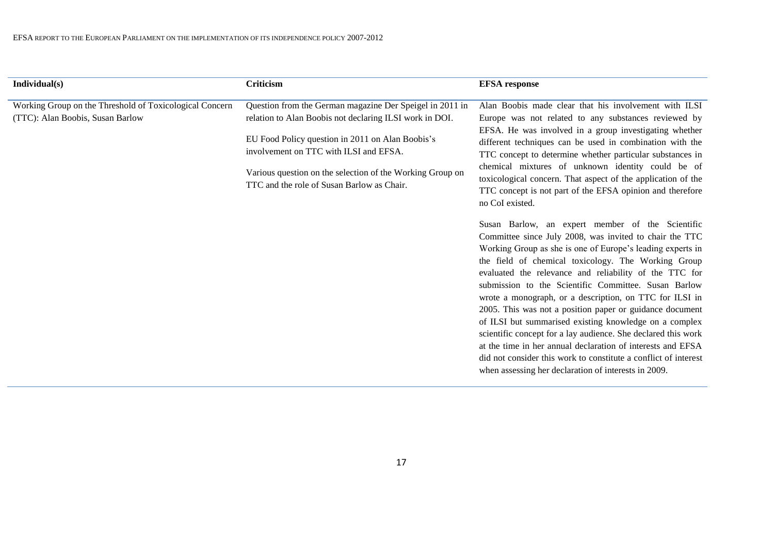| Individual(s)                                                                               | Criticism                                                                                                                                                                                                                                                                                                                    | <b>EFSA</b> response                                                                                                                                                                                                                                                                                                                                                                                                                                                                                                                                                                                                                                                                                                                                                                                                                                                                                                                                                                                                                                                                                                                                                                                                                                                                                    |
|---------------------------------------------------------------------------------------------|------------------------------------------------------------------------------------------------------------------------------------------------------------------------------------------------------------------------------------------------------------------------------------------------------------------------------|---------------------------------------------------------------------------------------------------------------------------------------------------------------------------------------------------------------------------------------------------------------------------------------------------------------------------------------------------------------------------------------------------------------------------------------------------------------------------------------------------------------------------------------------------------------------------------------------------------------------------------------------------------------------------------------------------------------------------------------------------------------------------------------------------------------------------------------------------------------------------------------------------------------------------------------------------------------------------------------------------------------------------------------------------------------------------------------------------------------------------------------------------------------------------------------------------------------------------------------------------------------------------------------------------------|
| Working Group on the Threshold of Toxicological Concern<br>(TTC): Alan Boobis, Susan Barlow | Question from the German magazine Der Speigel in 2011 in<br>relation to Alan Boobis not declaring ILSI work in DOI.<br>EU Food Policy question in 2011 on Alan Boobis's<br>involvement on TTC with ILSI and EFSA.<br>Various question on the selection of the Working Group on<br>TTC and the role of Susan Barlow as Chair. | Alan Boobis made clear that his involvement with ILSI<br>Europe was not related to any substances reviewed by<br>EFSA. He was involved in a group investigating whether<br>different techniques can be used in combination with the<br>TTC concept to determine whether particular substances in<br>chemical mixtures of unknown identity could be of<br>toxicological concern. That aspect of the application of the<br>TTC concept is not part of the EFSA opinion and therefore<br>no CoI existed.<br>Susan Barlow, an expert member of the Scientific<br>Committee since July 2008, was invited to chair the TTC<br>Working Group as she is one of Europe's leading experts in<br>the field of chemical toxicology. The Working Group<br>evaluated the relevance and reliability of the TTC for<br>submission to the Scientific Committee. Susan Barlow<br>wrote a monograph, or a description, on TTC for ILSI in<br>2005. This was not a position paper or guidance document<br>of ILSI but summarised existing knowledge on a complex<br>scientific concept for a lay audience. She declared this work<br>at the time in her annual declaration of interests and EFSA<br>did not consider this work to constitute a conflict of interest<br>when assessing her declaration of interests in 2009. |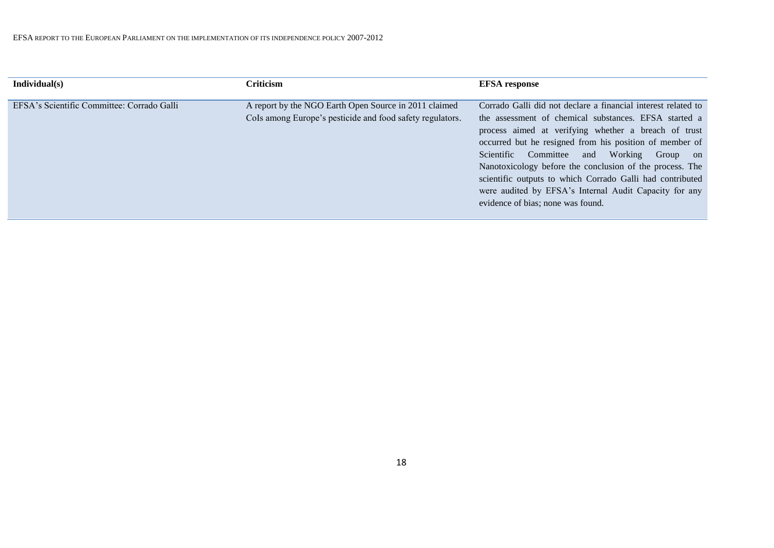| Individual(s)                              | Criticism                                                                                                          | <b>EFSA</b> response                                                                                                                                                                                                                                                                                                                                                                                                                                                                                           |
|--------------------------------------------|--------------------------------------------------------------------------------------------------------------------|----------------------------------------------------------------------------------------------------------------------------------------------------------------------------------------------------------------------------------------------------------------------------------------------------------------------------------------------------------------------------------------------------------------------------------------------------------------------------------------------------------------|
| EFSA's Scientific Committee: Corrado Galli | A report by the NGO Earth Open Source in 2011 claimed<br>CoIs among Europe's pesticide and food safety regulators. | Corrado Galli did not declare a financial interest related to<br>the assessment of chemical substances. EFSA started a<br>process aimed at verifying whether a breach of trust<br>occurred but he resigned from his position of member of<br>Scientific Committee and Working Group on<br>Nanotoxicology before the conclusion of the process. The<br>scientific outputs to which Corrado Galli had contributed<br>were audited by EFSA's Internal Audit Capacity for any<br>evidence of bias; none was found. |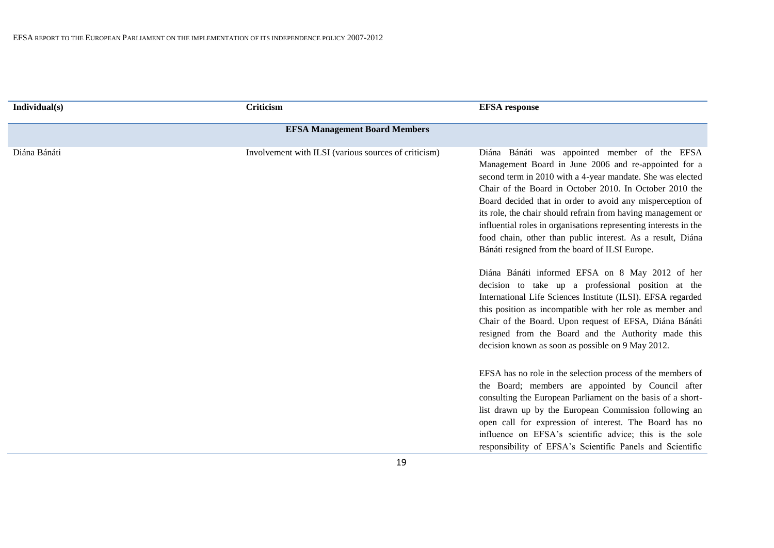| Individual(s) | Criticism                                            | <b>EFSA</b> response                                                                                                                                                                                                                                                                                                                                                                                                                                                                                                                            |
|---------------|------------------------------------------------------|-------------------------------------------------------------------------------------------------------------------------------------------------------------------------------------------------------------------------------------------------------------------------------------------------------------------------------------------------------------------------------------------------------------------------------------------------------------------------------------------------------------------------------------------------|
|               | <b>EFSA Management Board Members</b>                 |                                                                                                                                                                                                                                                                                                                                                                                                                                                                                                                                                 |
| Diána Bánáti  | Involvement with ILSI (various sources of criticism) | Diána Bánáti was appointed member of the EFSA<br>Management Board in June 2006 and re-appointed for a<br>second term in 2010 with a 4-year mandate. She was elected<br>Chair of the Board in October 2010. In October 2010 the<br>Board decided that in order to avoid any misperception of<br>its role, the chair should refrain from having management or<br>influential roles in organisations representing interests in the<br>food chain, other than public interest. As a result, Diána<br>Bánáti resigned from the board of ILSI Europe. |
|               |                                                      | Diána Bánáti informed EFSA on 8 May 2012 of her<br>decision to take up a professional position at the<br>International Life Sciences Institute (ILSI). EFSA regarded<br>this position as incompatible with her role as member and<br>Chair of the Board. Upon request of EFSA, Diána Bánáti<br>resigned from the Board and the Authority made this<br>decision known as soon as possible on 9 May 2012.                                                                                                                                         |
|               |                                                      | EFSA has no role in the selection process of the members of<br>the Board; members are appointed by Council after<br>consulting the European Parliament on the basis of a short-<br>list drawn up by the European Commission following an<br>open call for expression of interest. The Board has no<br>influence on EFSA's scientific advice; this is the sole<br>responsibility of EFSA's Scientific Panels and Scientific                                                                                                                      |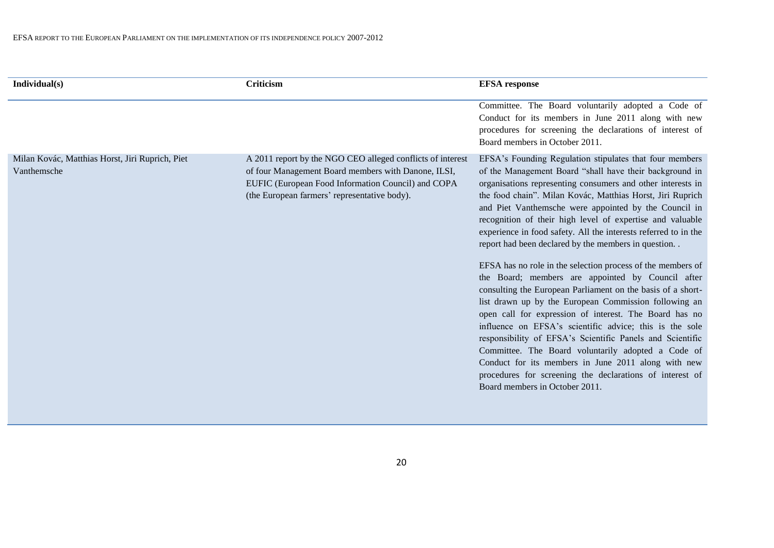| Individual(s)                                                  | Criticism                                                                                                                                                                                                               | <b>EFSA</b> response                                                                                                                                                                                                                                                                                                                                                                                                                                                                                                                                                                                                                                                                                                                                                                                                                                                                                                                                                                                                                                                                                                                     |
|----------------------------------------------------------------|-------------------------------------------------------------------------------------------------------------------------------------------------------------------------------------------------------------------------|------------------------------------------------------------------------------------------------------------------------------------------------------------------------------------------------------------------------------------------------------------------------------------------------------------------------------------------------------------------------------------------------------------------------------------------------------------------------------------------------------------------------------------------------------------------------------------------------------------------------------------------------------------------------------------------------------------------------------------------------------------------------------------------------------------------------------------------------------------------------------------------------------------------------------------------------------------------------------------------------------------------------------------------------------------------------------------------------------------------------------------------|
|                                                                |                                                                                                                                                                                                                         | Committee. The Board voluntarily adopted a Code of<br>Conduct for its members in June 2011 along with new<br>procedures for screening the declarations of interest of<br>Board members in October 2011.                                                                                                                                                                                                                                                                                                                                                                                                                                                                                                                                                                                                                                                                                                                                                                                                                                                                                                                                  |
| Milan Kovác, Matthias Horst, Jiri Ruprich, Piet<br>Vanthemsche | A 2011 report by the NGO CEO alleged conflicts of interest<br>of four Management Board members with Danone, ILSI,<br>EUFIC (European Food Information Council) and COPA<br>(the European farmers' representative body). | EFSA's Founding Regulation stipulates that four members<br>of the Management Board "shall have their background in<br>organisations representing consumers and other interests in<br>the food chain". Milan Kovác, Matthias Horst, Jiri Ruprich<br>and Piet Vanthemsche were appointed by the Council in<br>recognition of their high level of expertise and valuable<br>experience in food safety. All the interests referred to in the<br>report had been declared by the members in question<br>EFSA has no role in the selection process of the members of<br>the Board; members are appointed by Council after<br>consulting the European Parliament on the basis of a short-<br>list drawn up by the European Commission following an<br>open call for expression of interest. The Board has no<br>influence on EFSA's scientific advice; this is the sole<br>responsibility of EFSA's Scientific Panels and Scientific<br>Committee. The Board voluntarily adopted a Code of<br>Conduct for its members in June 2011 along with new<br>procedures for screening the declarations of interest of<br>Board members in October 2011. |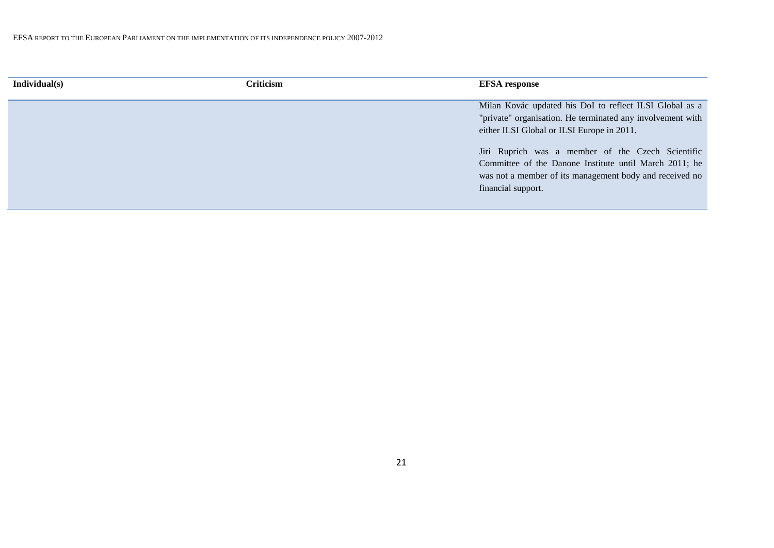| Individual(s) | Criticism | <b>EFSA</b> response                                                                                                                                                                         |
|---------------|-----------|----------------------------------------------------------------------------------------------------------------------------------------------------------------------------------------------|
|               |           | Milan Kovác updated his DoI to reflect ILSI Global as a<br>"private" organisation. He terminated any involvement with<br>either ILSI Global or ILSI Europe in 2011.                          |
|               |           | Jiri Ruprich was a member of the Czech Scientific<br>Committee of the Danone Institute until March 2011; he<br>was not a member of its management body and received no<br>financial support. |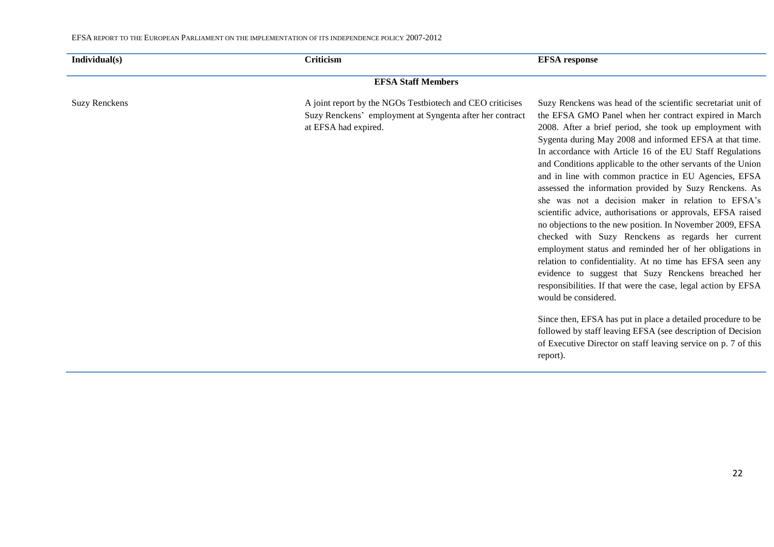| Individual(s)        | <b>Criticism</b>                                                                                                                              | <b>EFSA</b> response                                                                                                                                                                                                                                                                                                                                                                                                                                                                                                                                                                                                                                                                                                                                                                                                                                                                                                                                                                                                                                                                                                                                                                                                     |  |  |  |  |  |  |
|----------------------|-----------------------------------------------------------------------------------------------------------------------------------------------|--------------------------------------------------------------------------------------------------------------------------------------------------------------------------------------------------------------------------------------------------------------------------------------------------------------------------------------------------------------------------------------------------------------------------------------------------------------------------------------------------------------------------------------------------------------------------------------------------------------------------------------------------------------------------------------------------------------------------------------------------------------------------------------------------------------------------------------------------------------------------------------------------------------------------------------------------------------------------------------------------------------------------------------------------------------------------------------------------------------------------------------------------------------------------------------------------------------------------|--|--|--|--|--|--|
|                      | <b>EFSA Staff Members</b>                                                                                                                     |                                                                                                                                                                                                                                                                                                                                                                                                                                                                                                                                                                                                                                                                                                                                                                                                                                                                                                                                                                                                                                                                                                                                                                                                                          |  |  |  |  |  |  |
| <b>Suzy Renckens</b> | A joint report by the NGOs Testbiotech and CEO criticises<br>Suzy Renckens' employment at Syngenta after her contract<br>at EFSA had expired. | Suzy Renckens was head of the scientific secretariat unit of<br>the EFSA GMO Panel when her contract expired in March<br>2008. After a brief period, she took up employment with<br>Sygenta during May 2008 and informed EFSA at that time.<br>In accordance with Article 16 of the EU Staff Regulations<br>and Conditions applicable to the other servants of the Union<br>and in line with common practice in EU Agencies, EFSA<br>assessed the information provided by Suzy Renckens. As<br>she was not a decision maker in relation to EFSA's<br>scientific advice, authorisations or approvals, EFSA raised<br>no objections to the new position. In November 2009, EFSA<br>checked with Suzy Renckens as regards her current<br>employment status and reminded her of her obligations in<br>relation to confidentiality. At no time has EFSA seen any<br>evidence to suggest that Suzy Renckens breached her<br>responsibilities. If that were the case, legal action by EFSA<br>would be considered.<br>Since then, EFSA has put in place a detailed procedure to be<br>followed by staff leaving EFSA (see description of Decision<br>of Executive Director on staff leaving service on p. 7 of this<br>report). |  |  |  |  |  |  |
|                      |                                                                                                                                               |                                                                                                                                                                                                                                                                                                                                                                                                                                                                                                                                                                                                                                                                                                                                                                                                                                                                                                                                                                                                                                                                                                                                                                                                                          |  |  |  |  |  |  |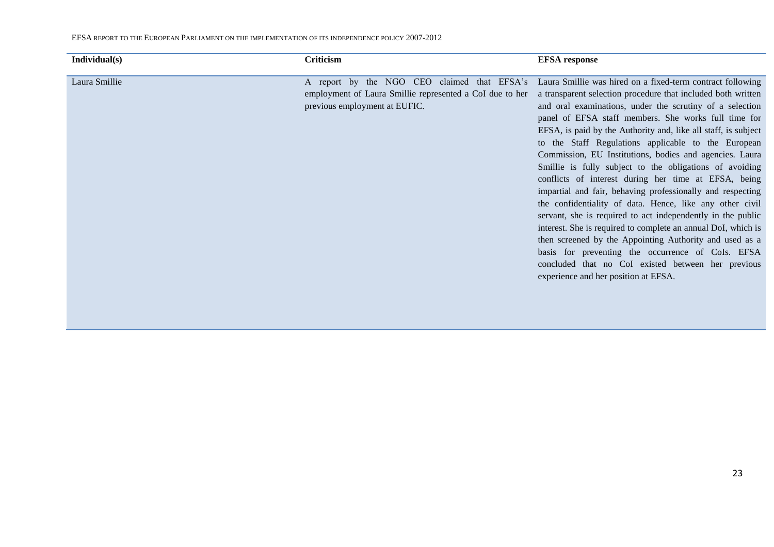| Individual(s) | Criticism                                                | <b>EFSA</b> response                                                                                   |
|---------------|----------------------------------------------------------|--------------------------------------------------------------------------------------------------------|
|               |                                                          |                                                                                                        |
| Laura Smillie |                                                          | A report by the NGO CEO claimed that EFSA's Laura Smillie was hired on a fixed-term contract following |
|               | employment of Laura Smillie represented a CoI due to her | a transparent selection procedure that included both written                                           |
|               | previous employment at EUFIC.                            | and oral examinations, under the scrutiny of a selection                                               |
|               |                                                          | panel of EFSA staff members. She works full time for                                                   |
|               |                                                          | EFSA, is paid by the Authority and, like all staff, is subject                                         |
|               |                                                          | to the Staff Regulations applicable to the European                                                    |
|               |                                                          | Commission, EU Institutions, bodies and agencies. Laura                                                |
|               |                                                          | Smillie is fully subject to the obligations of avoiding                                                |
|               |                                                          | conflicts of interest during her time at EFSA, being                                                   |
|               |                                                          | impartial and fair, behaving professionally and respecting                                             |
|               |                                                          | the confidentiality of data. Hence, like any other civil                                               |
|               |                                                          | servant, she is required to act independently in the public                                            |
|               |                                                          | interest. She is required to complete an annual DoI, which is                                          |
|               |                                                          | then screened by the Appointing Authority and used as a                                                |
|               |                                                          | basis for preventing the occurrence of CoIs. EFSA                                                      |
|               |                                                          | concluded that no CoI existed between her previous                                                     |
|               |                                                          | experience and her position at EFSA.                                                                   |
|               |                                                          |                                                                                                        |
|               |                                                          |                                                                                                        |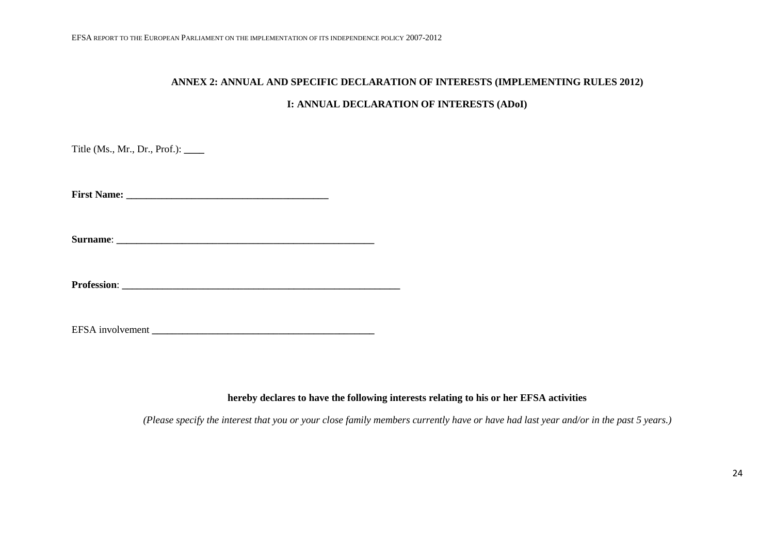# **ANNEX 2: ANNUAL AND SPECIFIC DECLARATION OF INTERESTS (IMPLEMENTING RULES 2012)**

#### **I: ANNUAL DECLARATION OF INTERESTS (ADoI)**

Title (Ms., Mr., Dr., Prof.): **\_\_\_\_**

**First Name: \_\_\_\_\_\_\_\_\_\_\_\_\_\_\_\_\_\_\_\_\_\_\_\_\_\_\_\_\_\_\_\_\_\_\_\_\_\_\_\_**

**Surname**: **\_\_\_\_\_\_\_\_\_\_\_\_\_\_\_\_\_\_\_\_\_\_\_\_\_\_\_\_\_\_\_\_\_\_\_\_\_\_\_\_\_\_\_\_\_\_\_\_\_\_\_**

**Profession**: **\_\_\_\_\_\_\_\_\_\_\_\_\_\_\_\_\_\_\_\_\_\_\_\_\_\_\_\_\_\_\_\_\_\_\_\_\_\_\_\_\_\_\_\_\_\_\_\_\_\_\_\_\_\_\_**

#### **hereby declares to have the following interests relating to his or her EFSA activities**

*(Please specify the interest that you or your close family members currently have or have had last year and/or in the past 5 years.)*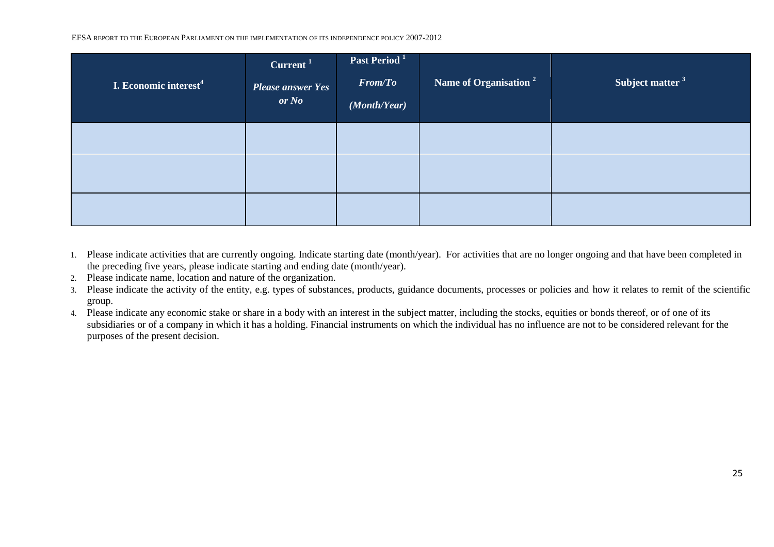| I. Economic interest <sup>4</sup> | Current <sup>1</sup><br><b>Please answer Yes</b><br>or No | Past Period <sup>1</sup><br>From/To<br>(Month/Year) | Name of Organisation <sup>2</sup> | Subject matter <sup>3</sup> |
|-----------------------------------|-----------------------------------------------------------|-----------------------------------------------------|-----------------------------------|-----------------------------|
|                                   |                                                           |                                                     |                                   |                             |
|                                   |                                                           |                                                     |                                   |                             |
|                                   |                                                           |                                                     |                                   |                             |

- 1. Please indicate activities that are currently ongoing. Indicate starting date (month/year). For activities that are no longer ongoing and that have been completed in the preceding five years, please indicate starting and ending date (month/year).
- 2. Please indicate name, location and nature of the organization.
- 3. Please indicate the activity of the entity, e.g. types of substances, products, guidance documents, processes or policies and how it relates to remit of the scientific group.
- 4. Please indicate any economic stake or share in a body with an interest in the subject matter, including the stocks, equities or bonds thereof, or of one of its subsidiaries or of a company in which it has a holding. Financial instruments on which the individual has no influence are not to be considered relevant for the purposes of the present decision.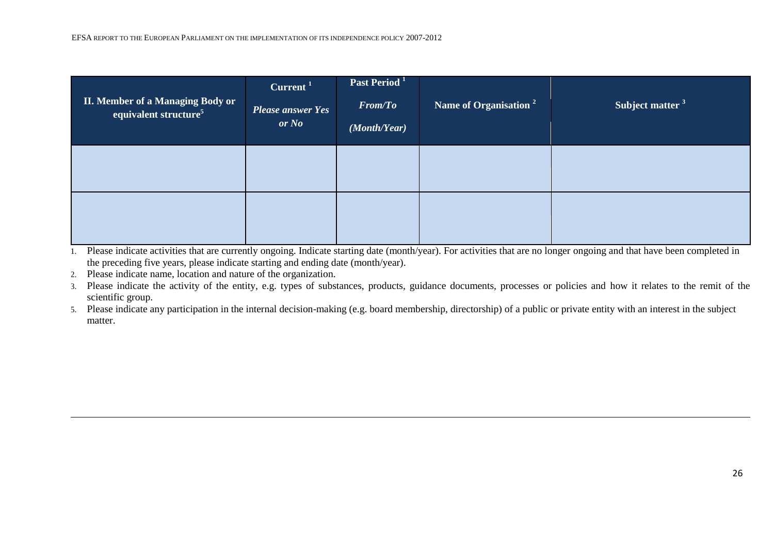| <b>II. Member of a Managing Body or</b><br>equivalent structure <sup>5</sup> | Current <sup>1</sup><br><b>Please answer Yes</b><br>or No | <b>Past Period</b> <sup>1</sup><br><b>From/To</b><br>(Month/Year) | Name of Organisation <sup>2</sup> | Subject matter <sup>3</sup> |
|------------------------------------------------------------------------------|-----------------------------------------------------------|-------------------------------------------------------------------|-----------------------------------|-----------------------------|
|                                                                              |                                                           |                                                                   |                                   |                             |
|                                                                              |                                                           |                                                                   |                                   |                             |

2. Please indicate name, location and nature of the organization.

3. Please indicate the activity of the entity, e.g. types of substances, products, guidance documents, processes or policies and how it relates to the remit of the scientific group.

5. Please indicate any participation in the internal decision-making (e.g. board membership, directorship) of a public or private entity with an interest in the subject matter.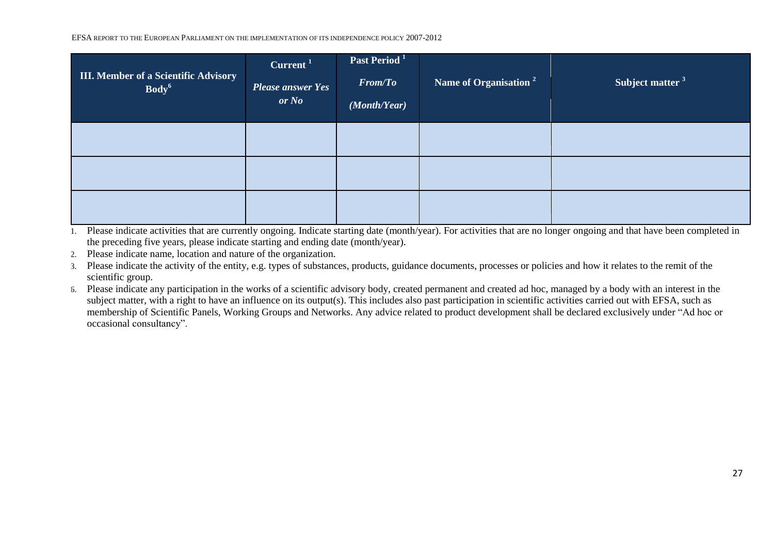| <b>III. Member of a Scientific Advisory</b><br>Body <sup>6</sup> | Current <sup>1</sup><br><b>Please answer Yes</b><br>or No | Past Period <sup>1</sup><br><b>From/To</b><br>(Month/Year) | Name of Organisation <sup>2</sup> | Subject matter <sup>3</sup> |
|------------------------------------------------------------------|-----------------------------------------------------------|------------------------------------------------------------|-----------------------------------|-----------------------------|
|                                                                  |                                                           |                                                            |                                   |                             |
|                                                                  |                                                           |                                                            |                                   |                             |
|                                                                  |                                                           |                                                            |                                   |                             |

1. Please indicate activities that are currently ongoing. Indicate starting date (month/year). For activities that are no longer ongoing and that have been completed in the preceding five years, please indicate starting and ending date (month/year).

2. Please indicate name, location and nature of the organization.

3. Please indicate the activity of the entity, e.g. types of substances, products, guidance documents, processes or policies and how it relates to the remit of the scientific group.

6. Please indicate any participation in the works of a scientific advisory body, created permanent and created ad hoc, managed by a body with an interest in the subject matter, with a right to have an influence on its output(s). This includes also past participation in scientific activities carried out with EFSA, such as membership of Scientific Panels, Working Groups and Networks. Any advice related to product development shall be declared exclusively under "Ad hoc or occasional consultancy".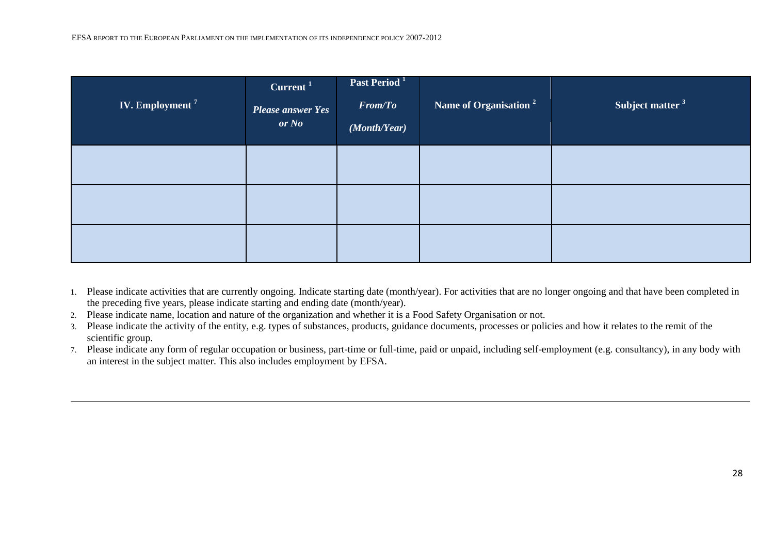| <b>IV. Employment<sup>7</sup></b> | Current $1$<br><b>Please answer Yes</b><br>or No | Past Period <sup>1</sup><br><b>From/To</b><br>(Month/Year) | Name of Organisation <sup>2</sup> | Subject matter <sup>3</sup> |
|-----------------------------------|--------------------------------------------------|------------------------------------------------------------|-----------------------------------|-----------------------------|
|                                   |                                                  |                                                            |                                   |                             |
|                                   |                                                  |                                                            |                                   |                             |
|                                   |                                                  |                                                            |                                   |                             |

- 1. Please indicate activities that are currently ongoing. Indicate starting date (month/year). For activities that are no longer ongoing and that have been completed in the preceding five years, please indicate starting and ending date (month/year).
- 2. Please indicate name, location and nature of the organization and whether it is a Food Safety Organisation or not.
- 3. Please indicate the activity of the entity, e.g. types of substances, products, guidance documents, processes or policies and how it relates to the remit of the scientific group.
- 7. Please indicate any form of regular occupation or business, part-time or full-time, paid or unpaid, including self-employment (e.g. consultancy), in any body with an interest in the subject matter. This also includes employment by EFSA.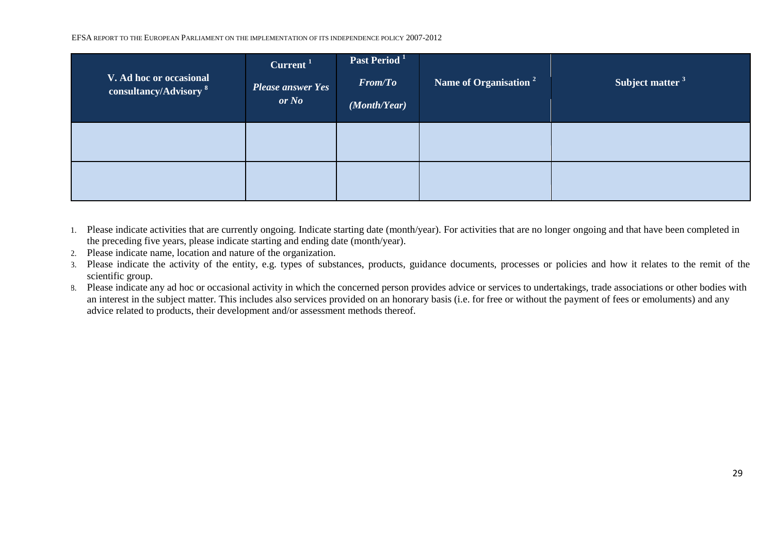| V. Ad hoc or occasional<br>consultancy/Advisory <sup>8</sup> | Current <sup>1</sup><br><b>Please answer Yes</b><br>or No | Past Period <sup>1</sup><br><b>From/To</b><br>(Month/Year) | Name of Organisation <sup>2</sup> | Subject matter <sup>3</sup> |
|--------------------------------------------------------------|-----------------------------------------------------------|------------------------------------------------------------|-----------------------------------|-----------------------------|
|                                                              |                                                           |                                                            |                                   |                             |
|                                                              |                                                           |                                                            |                                   |                             |

- 1. Please indicate activities that are currently ongoing. Indicate starting date (month/year). For activities that are no longer ongoing and that have been completed in the preceding five years, please indicate starting and ending date (month/year).
- 2. Please indicate name, location and nature of the organization.
- 3. Please indicate the activity of the entity, e.g. types of substances, products, guidance documents, processes or policies and how it relates to the remit of the scientific group.
- 8. Please indicate any ad hoc or occasional activity in which the concerned person provides advice or services to undertakings, trade associations or other bodies with an interest in the subject matter. This includes also services provided on an honorary basis (i.e. for free or without the payment of fees or emoluments) and any advice related to products, their development and/or assessment methods thereof.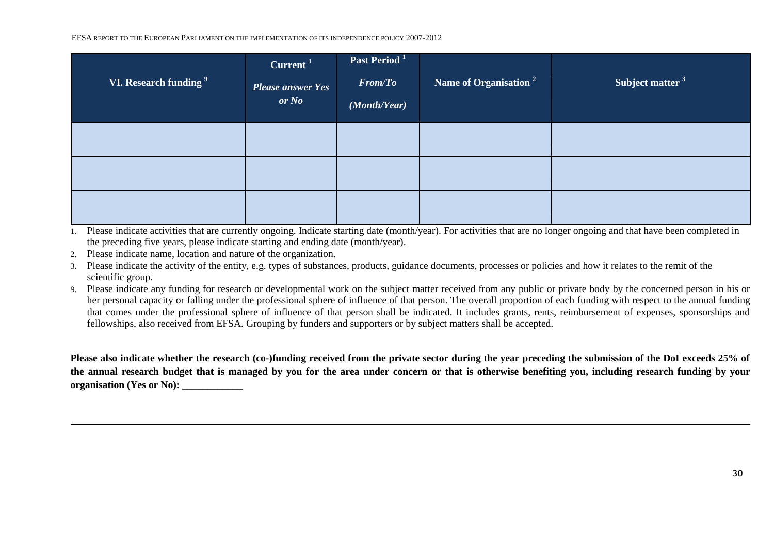| VI. Research funding 9 | Current <sup>1</sup><br><b>Please answer Yes</b><br>or No | Past Period <sup>1</sup><br><b>From/To</b><br>(Month/Year) | Name of Organisation <sup>2</sup> | Subject matter <sup>3</sup> |
|------------------------|-----------------------------------------------------------|------------------------------------------------------------|-----------------------------------|-----------------------------|
|                        |                                                           |                                                            |                                   |                             |
|                        |                                                           |                                                            |                                   |                             |
|                        |                                                           |                                                            |                                   |                             |

1. Please indicate activities that are currently ongoing. Indicate starting date (month/year). For activities that are no longer ongoing and that have been completed in the preceding five years, please indicate starting and ending date (month/year).

2. Please indicate name, location and nature of the organization.

3. Please indicate the activity of the entity, e.g. types of substances, products, guidance documents, processes or policies and how it relates to the remit of the scientific group.

9. Please indicate any funding for research or developmental work on the subject matter received from any public or private body by the concerned person in his or her personal capacity or falling under the professional sphere of influence of that person. The overall proportion of each funding with respect to the annual funding that comes under the professional sphere of influence of that person shall be indicated. It includes grants, rents, reimbursement of expenses, sponsorships and fellowships, also received from EFSA. Grouping by funders and supporters or by subject matters shall be accepted.

**Please also indicate whether the research (co-)funding received from the private sector during the year preceding the submission of the DoI exceeds 25% of the annual research budget that is managed by you for the area under concern or that is otherwise benefiting you, including research funding by your**  organisation (Yes or No):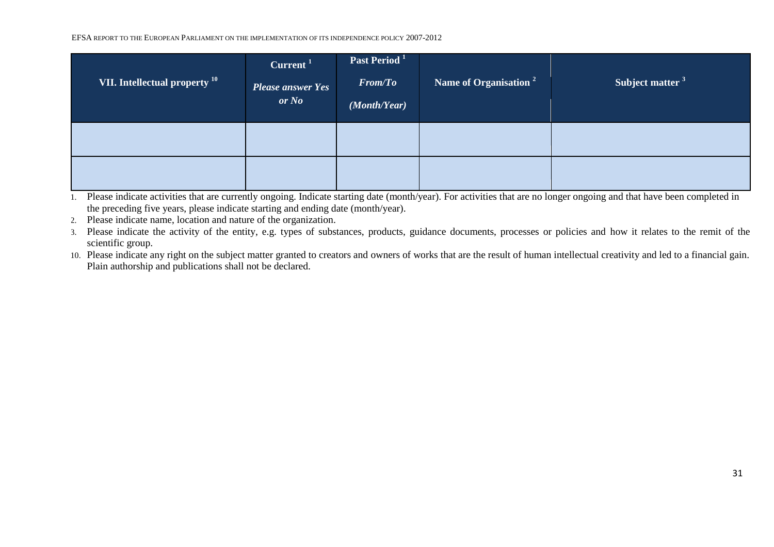| VII. Intellectual property <sup>10</sup> | Current <sup>1</sup><br><b>Please answer Yes</b><br>or No | Past Period <sup>1</sup><br><b>From/To</b><br>(Month/Year) | Name of Organisation $2^{-1}$ | Subject matter <sup>3</sup> |
|------------------------------------------|-----------------------------------------------------------|------------------------------------------------------------|-------------------------------|-----------------------------|
|                                          |                                                           |                                                            |                               |                             |
|                                          |                                                           |                                                            |                               |                             |

1. Please indicate activities that are currently ongoing. Indicate starting date (month/year). For activities that are no longer ongoing and that have been completed in the preceding five years, please indicate starting and ending date (month/year).

- 2. Please indicate name, location and nature of the organization.
- 3. Please indicate the activity of the entity, e.g. types of substances, products, guidance documents, processes or policies and how it relates to the remit of the scientific group.
- 10. Please indicate any right on the subject matter granted to creators and owners of works that are the result of human intellectual creativity and led to a financial gain. Plain authorship and publications shall not be declared.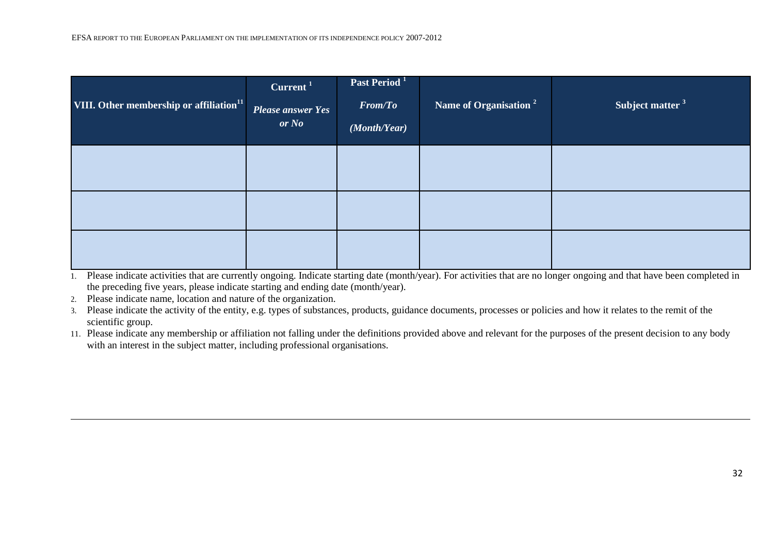| VIII. Other membership or affiliation <sup>11</sup> | Current <sup>1</sup><br><b>Please answer Yes</b><br>or No | Past Period <sup>1</sup><br>From/To<br>(Month/Year) | Name of Organisation <sup>2</sup> | Subject matter <sup>3</sup> |
|-----------------------------------------------------|-----------------------------------------------------------|-----------------------------------------------------|-----------------------------------|-----------------------------|
|                                                     |                                                           |                                                     |                                   |                             |
|                                                     |                                                           |                                                     |                                   |                             |
|                                                     |                                                           |                                                     |                                   |                             |

2. Please indicate name, location and nature of the organization.

3. Please indicate the activity of the entity, e.g. types of substances, products, guidance documents, processes or policies and how it relates to the remit of the scientific group.

11. Please indicate any membership or affiliation not falling under the definitions provided above and relevant for the purposes of the present decision to any body with an interest in the subject matter, including professional organisations.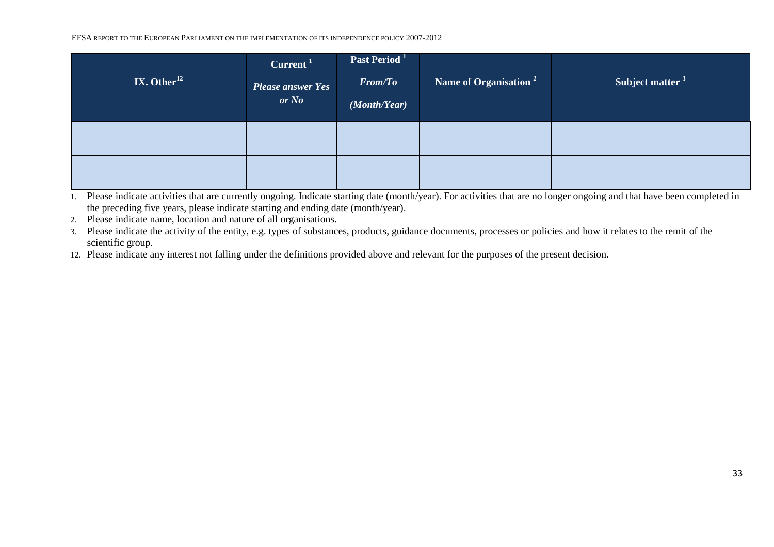| IX. Other $^{12}$ | Current <sup>1</sup><br><b>Please answer Yes</b><br>or No | Past Period <sup>1</sup><br><b>From/To</b><br>(Month/Year) | Name of Organisation <sup>2</sup> | Subject matter <sup>3</sup> |
|-------------------|-----------------------------------------------------------|------------------------------------------------------------|-----------------------------------|-----------------------------|
|                   |                                                           |                                                            |                                   |                             |
|                   |                                                           |                                                            |                                   |                             |

1. Please indicate activities that are currently ongoing. Indicate starting date (month/year). For activities that are no longer ongoing and that have been completed in the preceding five years, please indicate starting and ending date (month/year).

2. Please indicate name, location and nature of all organisations.

3. Please indicate the activity of the entity, e.g. types of substances, products, guidance documents, processes or policies and how it relates to the remit of the scientific group.

12. Please indicate any interest not falling under the definitions provided above and relevant for the purposes of the present decision.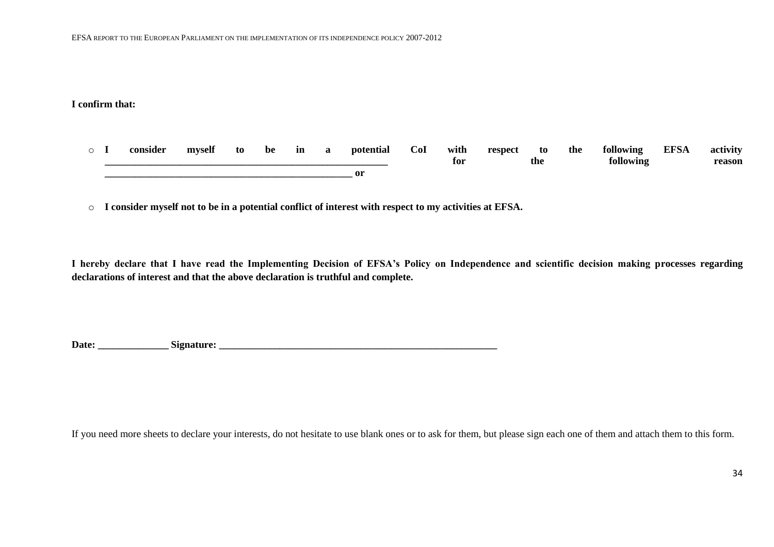### **I confirm that:**

- o **I consider myself to be in a potential CoI with respect to the following EFSA activity \_\_\_\_\_\_\_\_\_\_\_\_\_\_\_\_\_\_\_\_\_\_\_\_\_\_\_\_\_\_\_\_\_\_\_\_\_\_\_\_\_\_\_\_\_\_\_\_\_\_\_\_\_\_\_\_ for the following reason \_\_\_\_\_\_\_\_\_\_\_\_\_\_\_\_\_\_\_\_\_\_\_\_\_\_\_\_\_\_\_\_\_\_\_\_\_\_\_\_\_\_\_\_\_\_\_\_\_ or**
- o **I consider myself not to be in a potential conflict of interest with respect to my activities at EFSA.**

**I hereby declare that I have read the Implementing Decision of EFSA's Policy on Independence and scientific decision making processes regarding declarations of interest and that the above declaration is truthful and complete.**

**Date: \_\_\_\_\_\_\_\_\_\_\_\_\_\_ Signature: \_\_\_\_\_\_\_\_\_\_\_\_\_\_\_\_\_\_\_\_\_\_\_\_\_\_\_\_\_\_\_\_\_\_\_\_\_\_\_\_\_\_\_\_\_\_\_\_\_\_\_\_\_\_\_**

If you need more sheets to declare your interests, do not hesitate to use blank ones or to ask for them, but please sign each one of them and attach them to this form.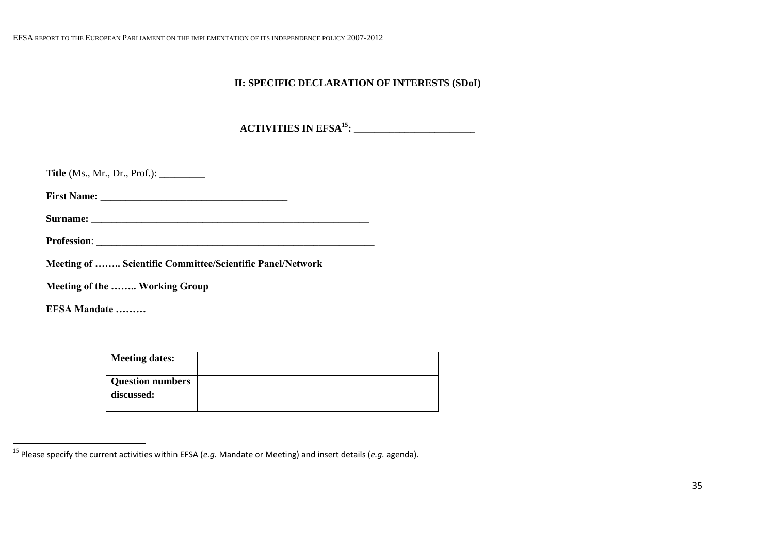# **II: SPECIFIC DECLARATION OF INTERESTS (SDoI)**

**ACTIVITIES IN EFSA<sup>15</sup>: \_\_\_\_\_\_\_\_\_\_\_\_\_\_\_\_\_\_\_\_\_\_\_\_**

| <b>Title</b> (Ms., Mr., Dr., Prof.): $\_\_\_\_\_\_\_\_\_\_\_\_\_\_\_\_\_\_\_\_\_\_\_\_\_\_\_\_\_\_\_\_\_$ |
|-----------------------------------------------------------------------------------------------------------|
|                                                                                                           |
|                                                                                                           |
|                                                                                                           |
| Meeting of  Scientific Committee/Scientific Panel/Network                                                 |
| Meeting of the  Working Group                                                                             |
| EFSA Mandate                                                                                              |

| <b>Meeting dates:</b>                 |  |
|---------------------------------------|--|
| <b>Question numbers</b><br>discussed: |  |

 $\ddot{\phantom{a}}$ 

<sup>15</sup> Please specify the current activities within EFSA (*e.g.* Mandate or Meeting) and insert details (*e.g.* agenda).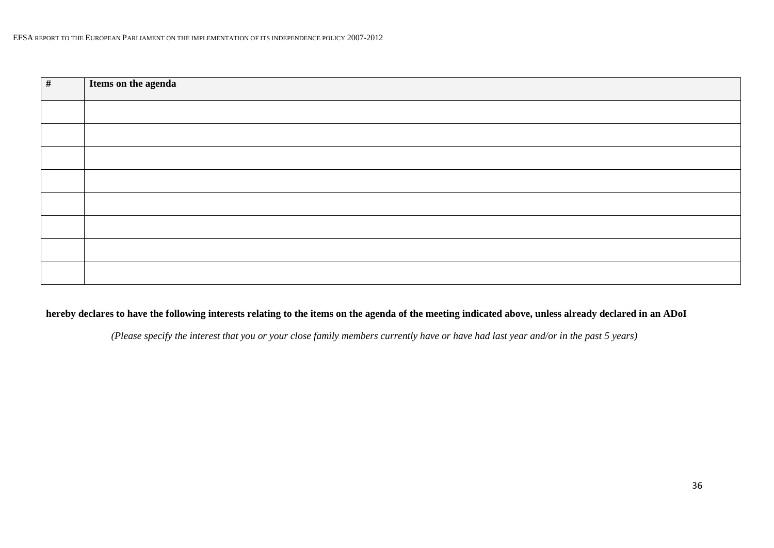| # | Items on the agenda |
|---|---------------------|
|   |                     |
|   |                     |
|   |                     |
|   |                     |
|   |                     |
|   |                     |
|   |                     |
|   |                     |

# **hereby declares to have the following interests relating to the items on the agenda of the meeting indicated above, unless already declared in an ADoI**

*(Please specify the interest that you or your close family members currently have or have had last year and/or in the past 5 years)*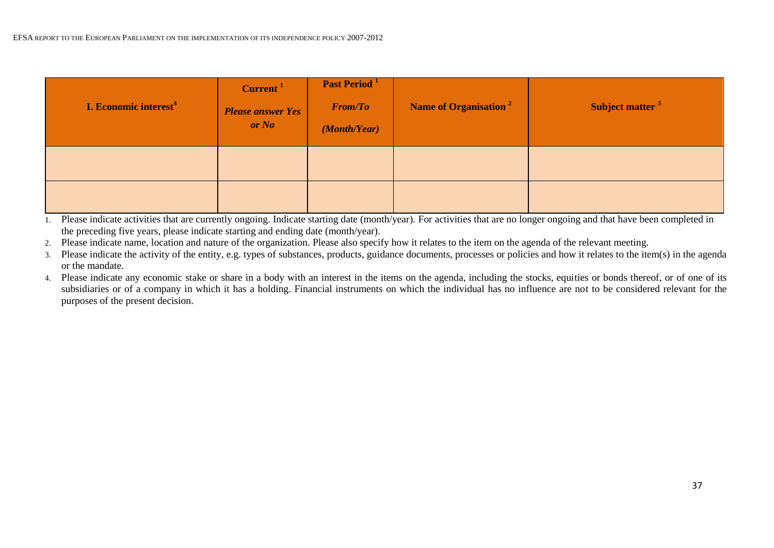| I. Economic interest <sup>4</sup> | Current <sup>1</sup><br><b>Please answer Yes</b><br>or No | Past Period <sup>1</sup><br><b>From/To</b><br>(Month/Year) | Name of Organisation <sup>2</sup> | Subject matter <sup>3</sup> |
|-----------------------------------|-----------------------------------------------------------|------------------------------------------------------------|-----------------------------------|-----------------------------|
|                                   |                                                           |                                                            |                                   |                             |
|                                   |                                                           |                                                            |                                   |                             |

- 2. Please indicate name, location and nature of the organization. Please also specify how it relates to the item on the agenda of the relevant meeting.
- 3. Please indicate the activity of the entity, e.g. types of substances, products, guidance documents, processes or policies and how it relates to the item(s) in the agenda or the mandate.
- 4. Please indicate any economic stake or share in a body with an interest in the items on the agenda, including the stocks, equities or bonds thereof, or of one of its subsidiaries or of a company in which it has a holding. Financial instruments on which the individual has no influence are not to be considered relevant for the purposes of the present decision.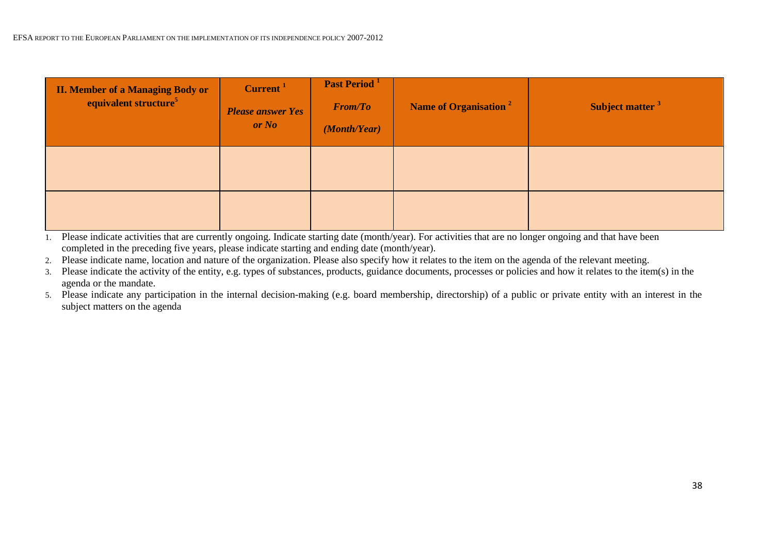| <b>II. Member of a Managing Body or</b><br>equivalent structure <sup>5</sup> | Current <sup>1</sup><br><b>Please answer Yes</b><br>or No | Past Period <sup>1</sup><br><b>From/To</b><br>(Month/Year) | Name of Organisation <sup>2</sup> | Subject matter <sup>3</sup> |
|------------------------------------------------------------------------------|-----------------------------------------------------------|------------------------------------------------------------|-----------------------------------|-----------------------------|
|                                                                              |                                                           |                                                            |                                   |                             |
|                                                                              |                                                           |                                                            |                                   |                             |

2. Please indicate name, location and nature of the organization. Please also specify how it relates to the item on the agenda of the relevant meeting.

3. Please indicate the activity of the entity, e.g. types of substances, products, guidance documents, processes or policies and how it relates to the item(s) in the agenda or the mandate.

5. Please indicate any participation in the internal decision-making (e.g. board membership, directorship) of a public or private entity with an interest in the subject matters on the agenda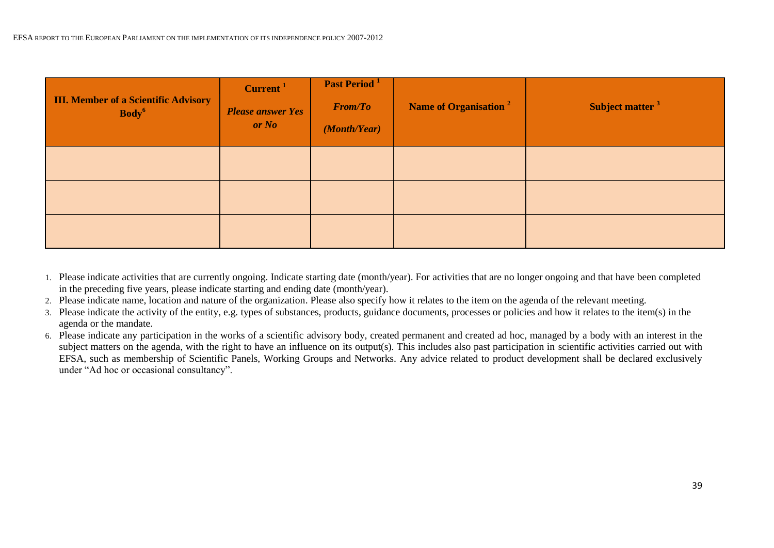| <b>III. Member of a Scientific Advisory</b><br>Body <sup>6</sup> | Current <sup>1</sup><br><b>Please answer Yes</b><br>or No | Past Period <sup>1</sup><br><b>From/To</b><br>(Month/Year) | Name of Organisation <sup>2</sup> | Subject matter <sup>3</sup> |
|------------------------------------------------------------------|-----------------------------------------------------------|------------------------------------------------------------|-----------------------------------|-----------------------------|
|                                                                  |                                                           |                                                            |                                   |                             |
|                                                                  |                                                           |                                                            |                                   |                             |
|                                                                  |                                                           |                                                            |                                   |                             |

- 1. Please indicate activities that are currently ongoing. Indicate starting date (month/year). For activities that are no longer ongoing and that have been completed in the preceding five years, please indicate starting and ending date (month/year).
- 2. Please indicate name, location and nature of the organization. Please also specify how it relates to the item on the agenda of the relevant meeting.
- 3. Please indicate the activity of the entity, e.g. types of substances, products, guidance documents, processes or policies and how it relates to the item(s) in the agenda or the mandate.
- 6. Please indicate any participation in the works of a scientific advisory body, created permanent and created ad hoc, managed by a body with an interest in the subject matters on the agenda, with the right to have an influence on its output(s). This includes also past participation in scientific activities carried out with EFSA, such as membership of Scientific Panels, Working Groups and Networks. Any advice related to product development shall be declared exclusively under "Ad hoc or occasional consultancy".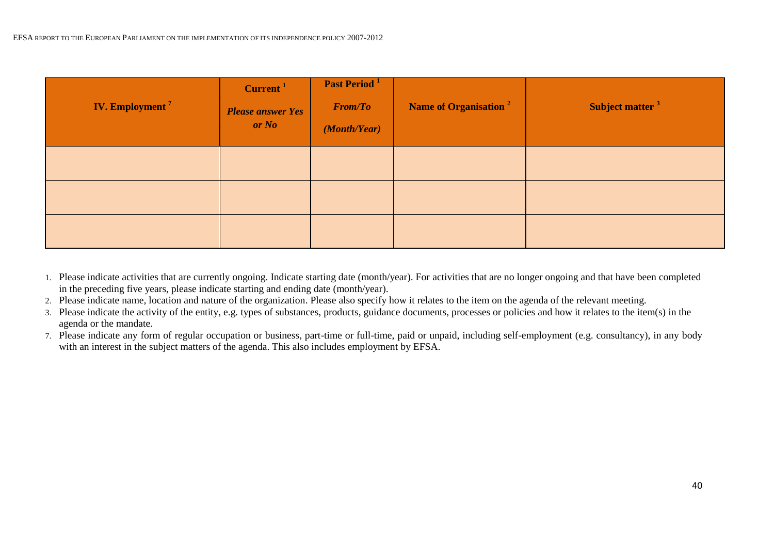| <b>IV. Employment</b> <sup>7</sup> | Current <sup>1</sup><br><b>Please answer Yes</b><br>or No | Past Period <sup>1</sup><br><b>From/To</b><br>(Month/Year) | Name of Organisation <sup>2</sup> | Subject matter <sup>3</sup> |
|------------------------------------|-----------------------------------------------------------|------------------------------------------------------------|-----------------------------------|-----------------------------|
|                                    |                                                           |                                                            |                                   |                             |
|                                    |                                                           |                                                            |                                   |                             |
|                                    |                                                           |                                                            |                                   |                             |

- 1. Please indicate activities that are currently ongoing. Indicate starting date (month/year). For activities that are no longer ongoing and that have been completed in the preceding five years, please indicate starting and ending date (month/year).
- 2. Please indicate name, location and nature of the organization. Please also specify how it relates to the item on the agenda of the relevant meeting.
- 3. Please indicate the activity of the entity, e.g. types of substances, products, guidance documents, processes or policies and how it relates to the item(s) in the agenda or the mandate.
- 7. Please indicate any form of regular occupation or business, part-time or full-time, paid or unpaid, including self-employment (e.g. consultancy), in any body with an interest in the subject matters of the agenda. This also includes employment by EFSA.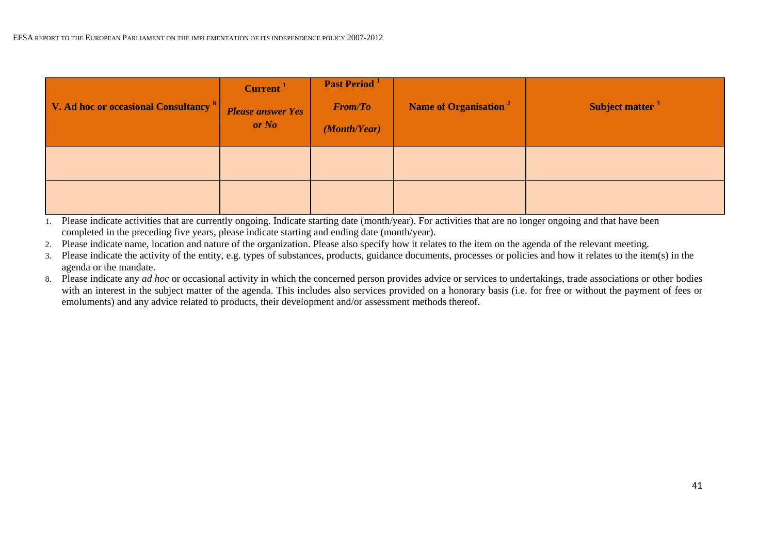| V. Ad hoc or occasional Consultancy <sup>8</sup> | Current <sup>1</sup><br><b>Please answer Yes</b><br>or No | Past Period <sup>1</sup><br><b>From/To</b><br>(Month/Year) | Name of Organisation <sup>2</sup> | Subject matter <sup>3</sup> |
|--------------------------------------------------|-----------------------------------------------------------|------------------------------------------------------------|-----------------------------------|-----------------------------|
|                                                  |                                                           |                                                            |                                   |                             |
|                                                  |                                                           |                                                            |                                   |                             |

- 1. Please indicate activities that are currently ongoing. Indicate starting date (month/year). For activities that are no longer ongoing and that have been completed in the preceding five years, please indicate starting and ending date (month/year).
- 2. Please indicate name, location and nature of the organization. Please also specify how it relates to the item on the agenda of the relevant meeting.
- 3. Please indicate the activity of the entity, e.g. types of substances, products, guidance documents, processes or policies and how it relates to the item(s) in the agenda or the mandate.
- 8. Please indicate any *ad hoc* or occasional activity in which the concerned person provides advice or services to undertakings, trade associations or other bodies with an interest in the subject matter of the agenda. This includes also services provided on a honorary basis (i.e. for free or without the payment of fees or emoluments) and any advice related to products, their development and/or assessment methods thereof.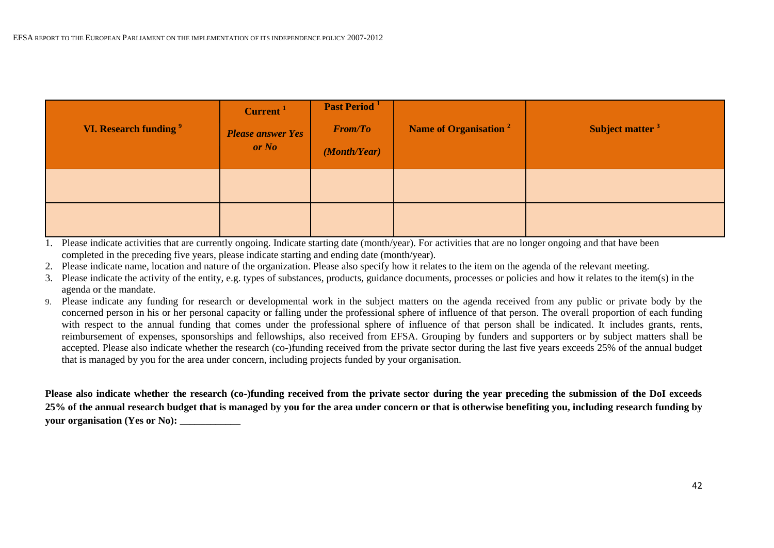| VI. Research funding <sup>9</sup> | Current <sup>1</sup><br><b>Please answer Yes</b><br>or No | Past Period <sup>1</sup><br><b>From/To</b><br>(Month/Year) | Name of Organisation <sup>2</sup> | Subject matter <sup>3</sup> |
|-----------------------------------|-----------------------------------------------------------|------------------------------------------------------------|-----------------------------------|-----------------------------|
|                                   |                                                           |                                                            |                                   |                             |
|                                   |                                                           |                                                            |                                   |                             |

- 2. Please indicate name, location and nature of the organization. Please also specify how it relates to the item on the agenda of the relevant meeting.
- 3. Please indicate the activity of the entity, e.g. types of substances, products, guidance documents, processes or policies and how it relates to the item(s) in the agenda or the mandate.
- 9. Please indicate any funding for research or developmental work in the subject matters on the agenda received from any public or private body by the concerned person in his or her personal capacity or falling under the professional sphere of influence of that person. The overall proportion of each funding with respect to the annual funding that comes under the professional sphere of influence of that person shall be indicated. It includes grants, rents, reimbursement of expenses, sponsorships and fellowships, also received from EFSA. Grouping by funders and supporters or by subject matters shall be accepted. Please also indicate whether the research (co-)funding received from the private sector during the last five years exceeds 25% of the annual budget that is managed by you for the area under concern, including projects funded by your organisation.

**Please also indicate whether the research (co-)funding received from the private sector during the year preceding the submission of the DoI exceeds 25% of the annual research budget that is managed by you for the area under concern or that is otherwise benefiting you, including research funding by your organisation (Yes or No):**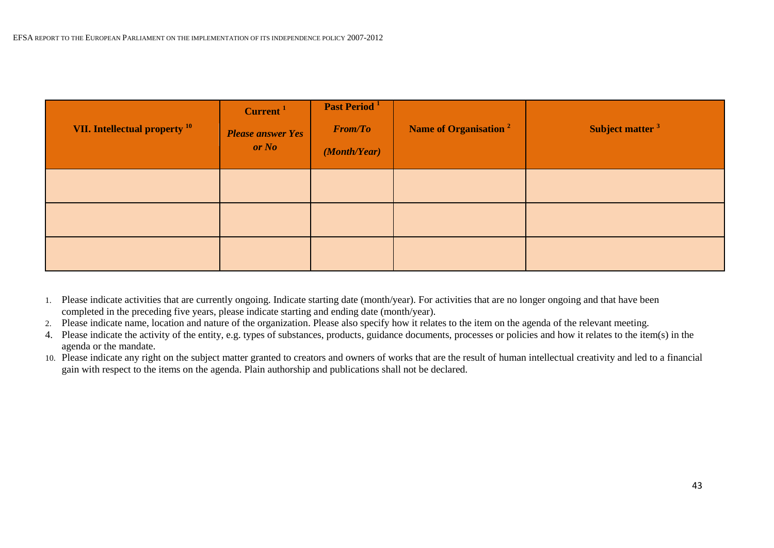| VII. Intellectual property <sup>10</sup> | Current <sup>1</sup><br><b>Please answer Yes</b><br>or No | Past Period <sup>1</sup><br><b>From/To</b><br>(Month/Year) | Name of Organisation <sup>2</sup> | Subject matter <sup>3</sup> |
|------------------------------------------|-----------------------------------------------------------|------------------------------------------------------------|-----------------------------------|-----------------------------|
|                                          |                                                           |                                                            |                                   |                             |
|                                          |                                                           |                                                            |                                   |                             |
|                                          |                                                           |                                                            |                                   |                             |

- 1. Please indicate activities that are currently ongoing. Indicate starting date (month/year). For activities that are no longer ongoing and that have been completed in the preceding five years, please indicate starting and ending date (month/year).
- 2. Please indicate name, location and nature of the organization. Please also specify how it relates to the item on the agenda of the relevant meeting.
- 4. Please indicate the activity of the entity, e.g. types of substances, products, guidance documents, processes or policies and how it relates to the item(s) in the agenda or the mandate.
- 10. Please indicate any right on the subject matter granted to creators and owners of works that are the result of human intellectual creativity and led to a financial gain with respect to the items on the agenda. Plain authorship and publications shall not be declared.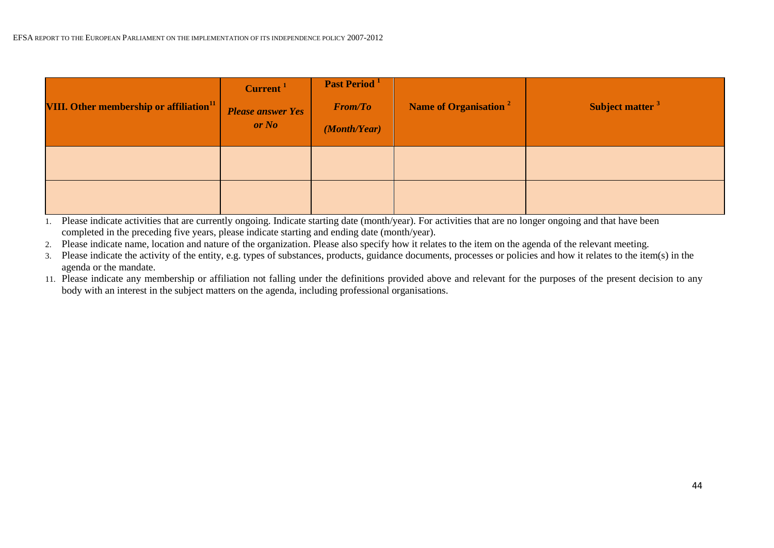| VIII. Other membership or affiliation $^{11}$ | Current <sup>1</sup><br><b>Please answer Yes</b><br>or No | Past Period <sup>1</sup><br><b>From/To</b><br>(Month/Year) | Name of Organisation <sup>2</sup> | Subject matter <sup>3</sup> |
|-----------------------------------------------|-----------------------------------------------------------|------------------------------------------------------------|-----------------------------------|-----------------------------|
|                                               |                                                           |                                                            |                                   |                             |
|                                               |                                                           |                                                            |                                   |                             |

- 1. Please indicate activities that are currently ongoing. Indicate starting date (month/year). For activities that are no longer ongoing and that have been completed in the preceding five years, please indicate starting and ending date (month/year).
- 2. Please indicate name, location and nature of the organization. Please also specify how it relates to the item on the agenda of the relevant meeting.
- 3. Please indicate the activity of the entity, e.g. types of substances, products, guidance documents, processes or policies and how it relates to the item(s) in the agenda or the mandate.
- 11. Please indicate any membership or affiliation not falling under the definitions provided above and relevant for the purposes of the present decision to any body with an interest in the subject matters on the agenda, including professional organisations.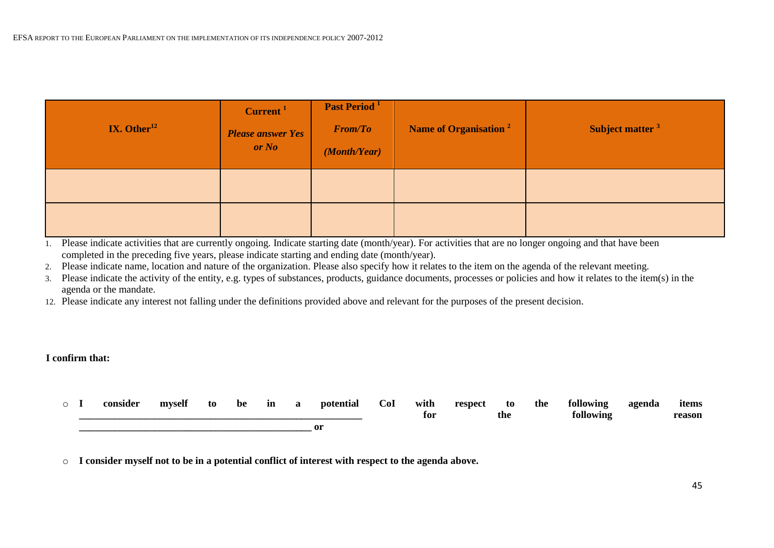| IX. Other $^{12}$ | Current <sup>1</sup><br><b>Please answer Yes</b><br>or No | Past Period <sup>1</sup><br><b>From/To</b><br>(Month/Year) | Name of Organisation <sup>2</sup> | Subject matter <sup>3</sup> |
|-------------------|-----------------------------------------------------------|------------------------------------------------------------|-----------------------------------|-----------------------------|
|                   |                                                           |                                                            |                                   |                             |
|                   |                                                           |                                                            |                                   |                             |

2. Please indicate name, location and nature of the organization. Please also specify how it relates to the item on the agenda of the relevant meeting.

3. Please indicate the activity of the entity, e.g. types of substances, products, guidance documents, processes or policies and how it relates to the item(s) in the agenda or the mandate.

12. Please indicate any interest not falling under the definitions provided above and relevant for the purposes of the present decision.

#### **I confirm that:**

|  |  | consider | myself | to | be | m | potential | $\operatorname{CoI}$ | with | respect | to  | the | following | agenda | items  |
|--|--|----------|--------|----|----|---|-----------|----------------------|------|---------|-----|-----|-----------|--------|--------|
|  |  |          |        |    |    |   |           |                      | for  |         | the |     | following |        | reason |
|  |  |          |        |    |    |   |           |                      |      |         |     |     |           |        |        |

o **I consider myself not to be in a potential conflict of interest with respect to the agenda above.**